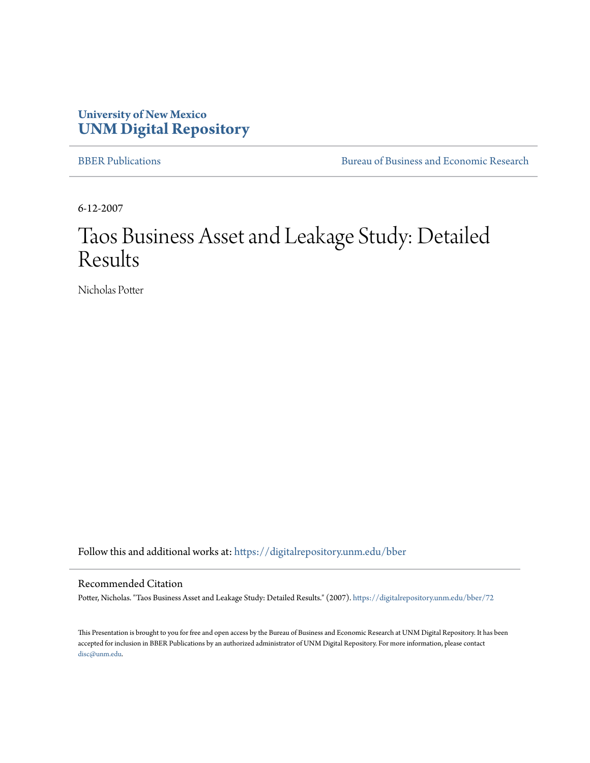#### **University of New Mexico [UNM Digital Repository](https://digitalrepository.unm.edu?utm_source=digitalrepository.unm.edu%2Fbber%2F72&utm_medium=PDF&utm_campaign=PDFCoverPages)**

[BBER Publications](https://digitalrepository.unm.edu/bber?utm_source=digitalrepository.unm.edu%2Fbber%2F72&utm_medium=PDF&utm_campaign=PDFCoverPages) [Bureau of Business and Economic Research](https://digitalrepository.unm.edu/business_economic_research?utm_source=digitalrepository.unm.edu%2Fbber%2F72&utm_medium=PDF&utm_campaign=PDFCoverPages)

6-12-2007

### Taos Business Asset and Leakage Study: Detailed Results

Nicholas Potter

Follow this and additional works at: [https://digitalrepository.unm.edu/bber](https://digitalrepository.unm.edu/bber?utm_source=digitalrepository.unm.edu%2Fbber%2F72&utm_medium=PDF&utm_campaign=PDFCoverPages)

#### Recommended Citation

Potter, Nicholas. "Taos Business Asset and Leakage Study: Detailed Results." (2007). [https://digitalrepository.unm.edu/bber/72](https://digitalrepository.unm.edu/bber/72?utm_source=digitalrepository.unm.edu%2Fbber%2F72&utm_medium=PDF&utm_campaign=PDFCoverPages)

This Presentation is brought to you for free and open access by the Bureau of Business and Economic Research at UNM Digital Repository. It has been accepted for inclusion in BBER Publications by an authorized administrator of UNM Digital Repository. For more information, please contact [disc@unm.edu](mailto:disc@unm.edu).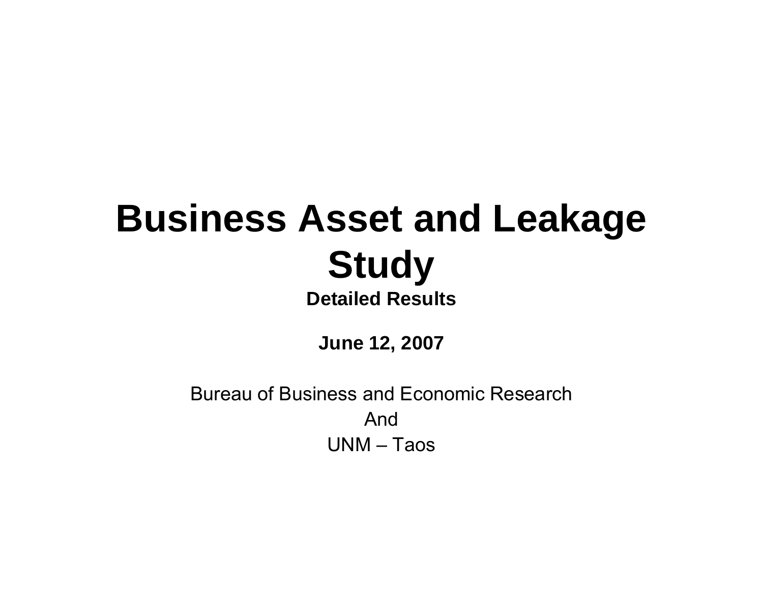### **Business Asset and Leakage Study Detailed Results**

**June 12, 2007**

Bureau of Business and Economic ResearchAndUNM – Taos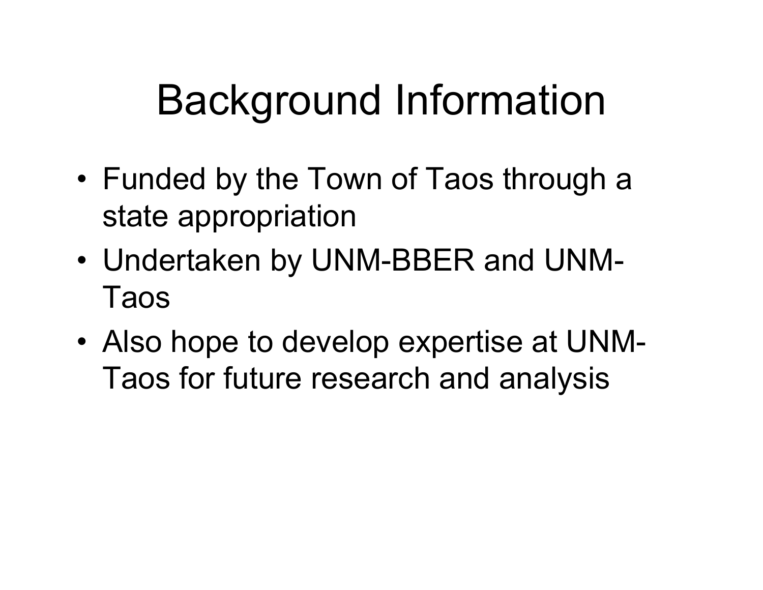### Background Information

- • Funded by the Town of Taos through a state appropriation
- Undertaken by UNM-BBER and UNM-Taos
- Also hope to develop expertise at UNM-Taos for future research and analysis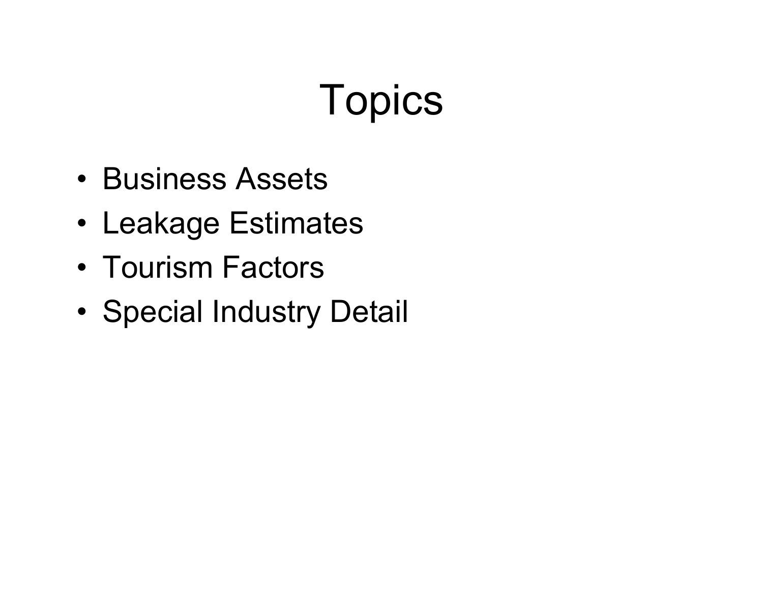# **Topics**

- Business Assets
- Leakage Estimates
- Tourism Factors
- •Special Industry Detail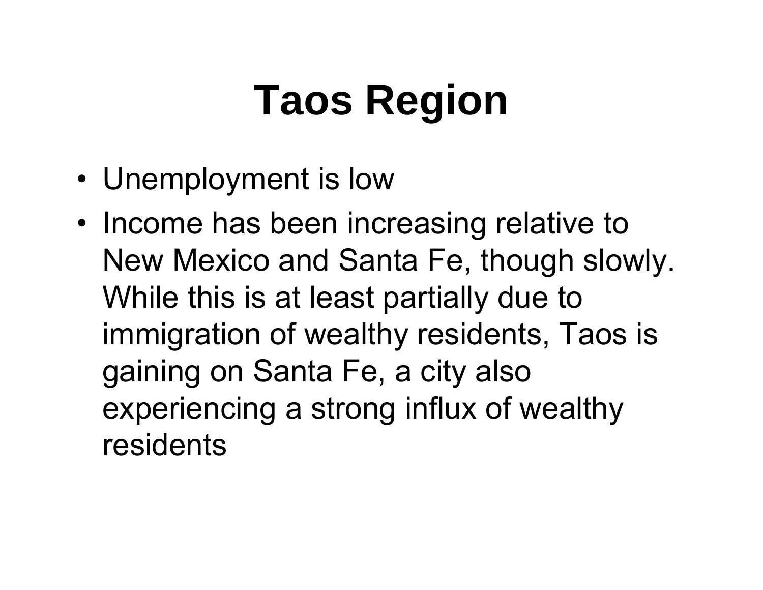# **Taos Region**

- Unemployment is low
- Income has been increasing relative to New Mexico and Santa Fe, though slowly. While this is at least partially due to immigration of wealthy residents, Taos is gaining on Santa Fe, a city also experiencing a strong influx of wealthy residents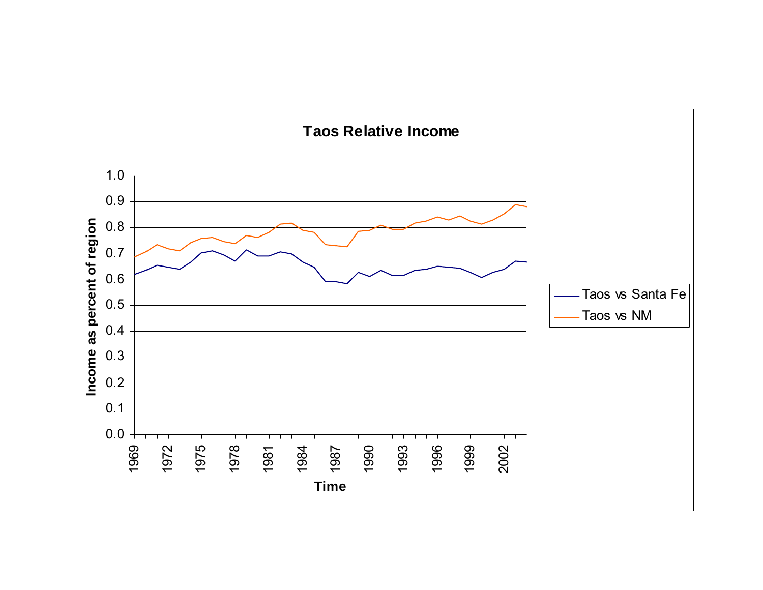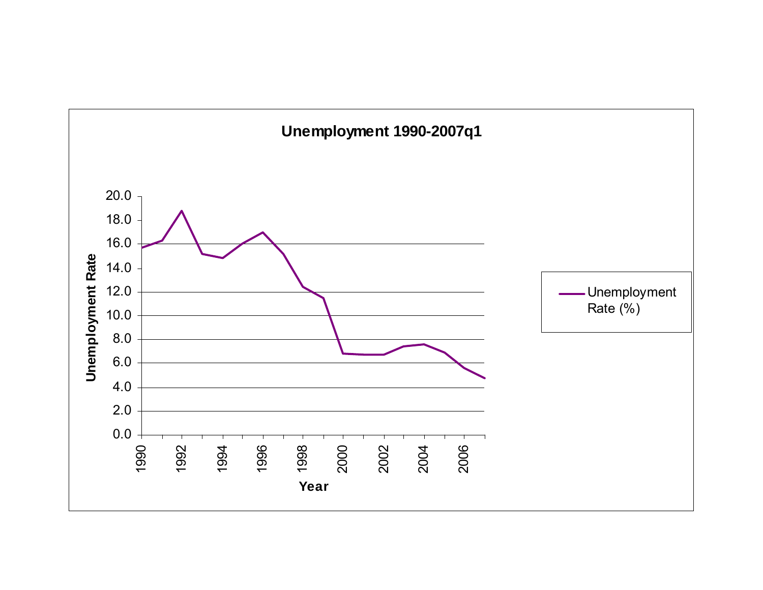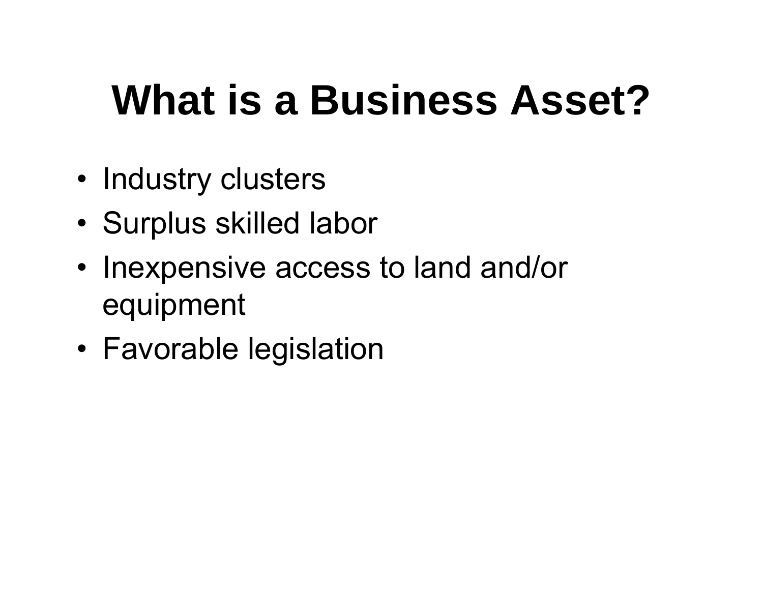## **What is a Business Asset?**

- Industry clusters
- •Surplus skilled labor
- • Inexpensive access to land and/or equipment
- Favorable legislation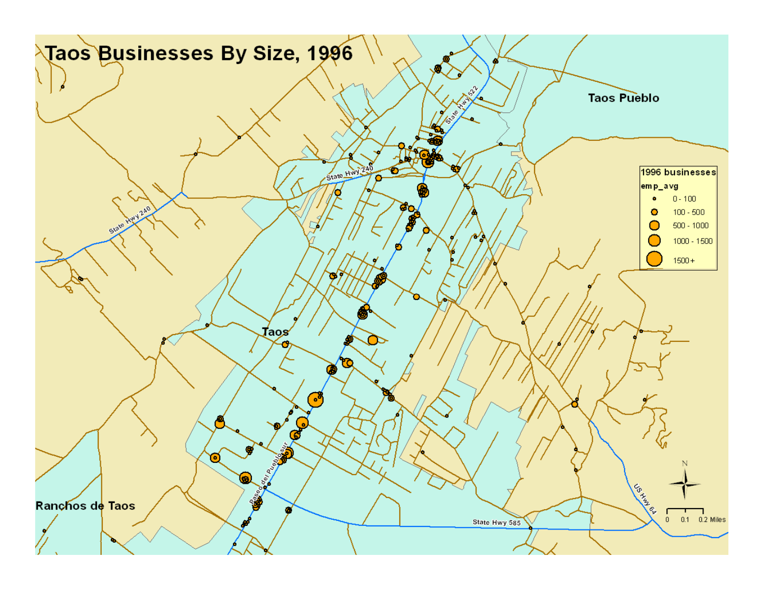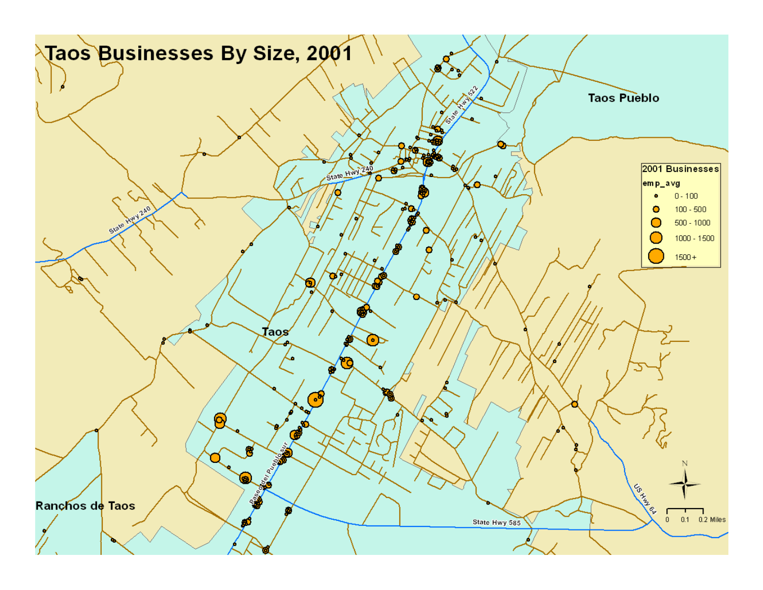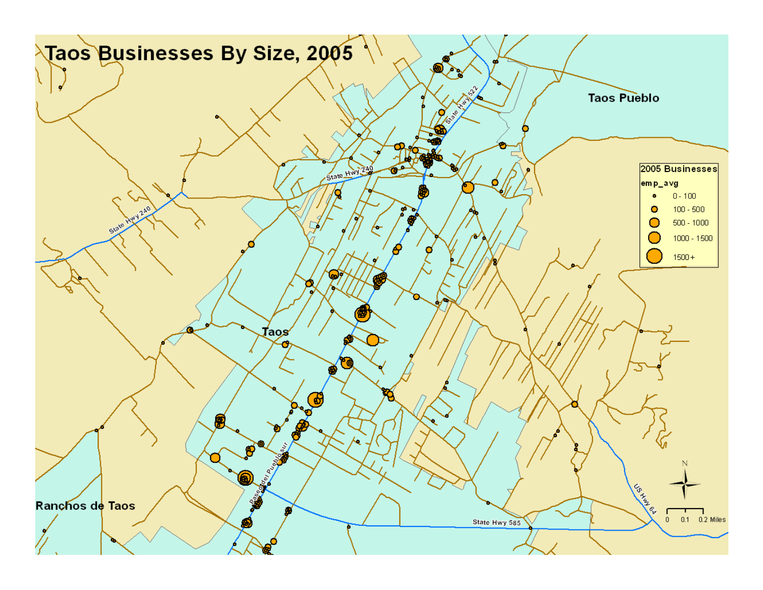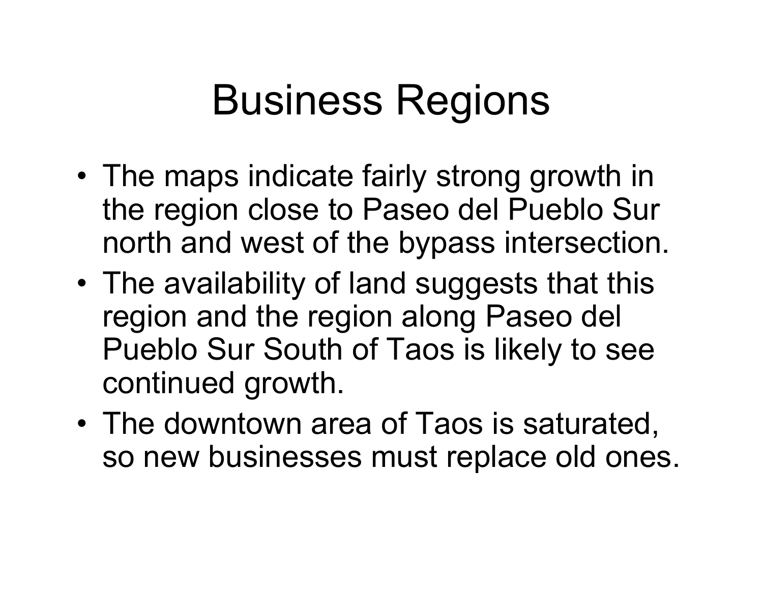### Business Regions

- • The maps indicate fairly strong growth in the region close to Paseo del Pueblo Sur north and west of the bypass intersection.
- • The availability of land suggests that this region and the region along Paseo del Pueblo Sur South of Taos is likely to see continued growth.
- • The downtown area of Taos is saturated, so new businesses must replace old ones.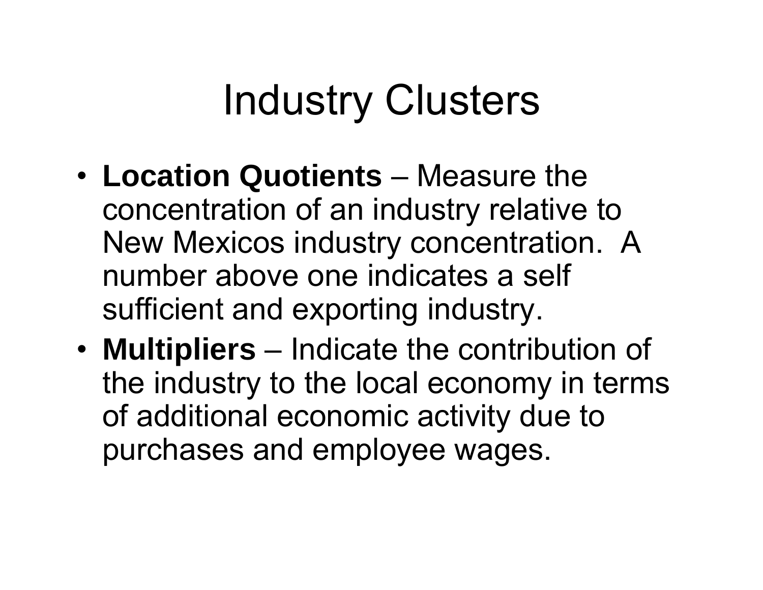## Industry Clusters

- • **Location Quotients** – Measure the concentration of an industry relative to New Mexicos industry concentration. A number above one indicates a self sufficient and exporting industry.
- • **Multipliers** – Indicate the contribution of the industry to the local economy in terms of additional economic activity due to purchases and employee wages.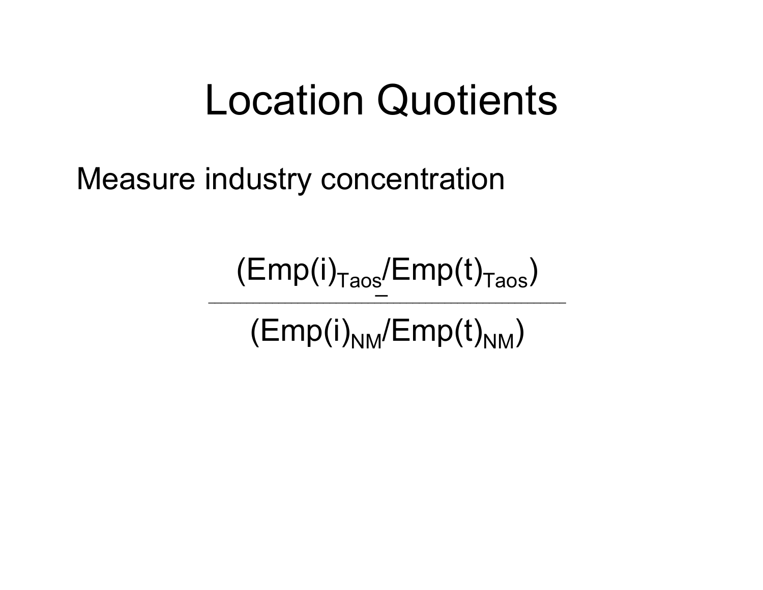### Location Quotients

Measure industry concentration

─ $(Emp(i)<sub>Taos</sub>/Emp(t)<sub>Taos</sub>)$ \_\_\_\_\_\_\_\_\_\_\_\_\_\_\_\_\_\_\_\_\_\_\_\_\_\_\_\_\_\_\_\_\_\_\_\_\_\_\_\_\_\_\_\_\_\_\_\_\_\_\_\_\_\_\_\_ (Emp(i)<sub>NM</sub>/Emp(t)<sub>NM</sub>)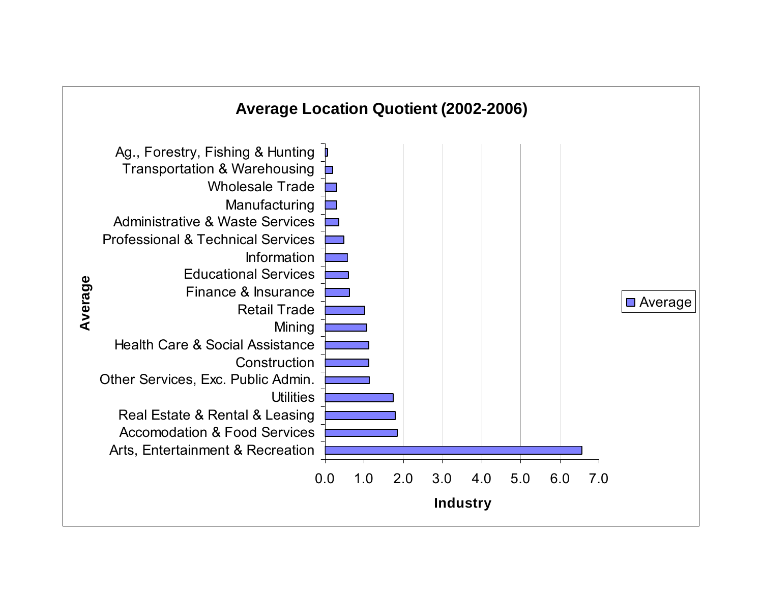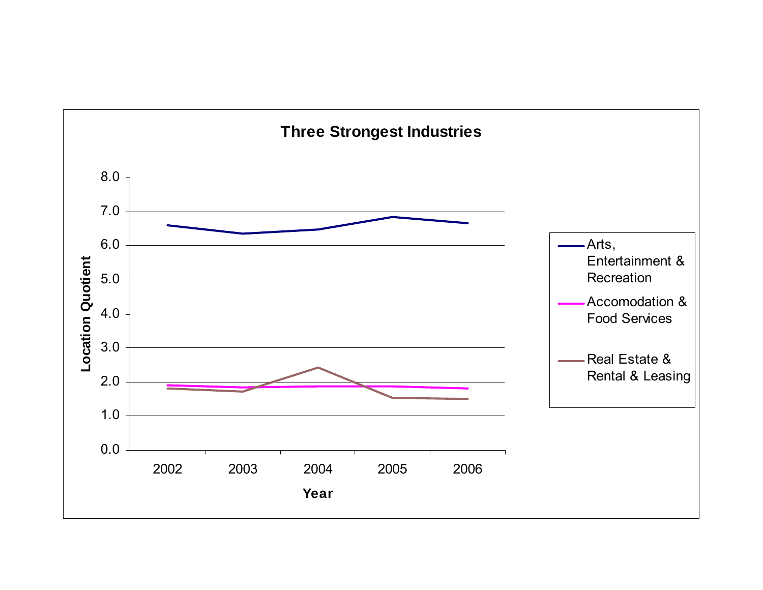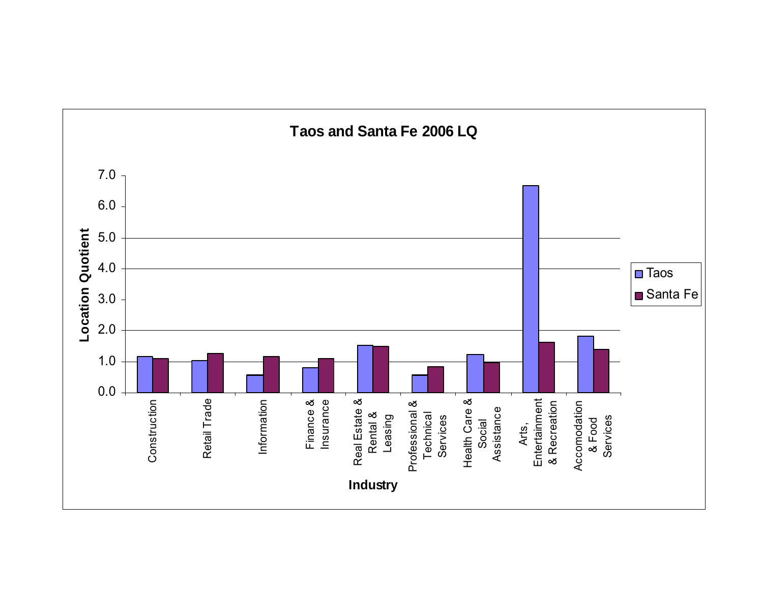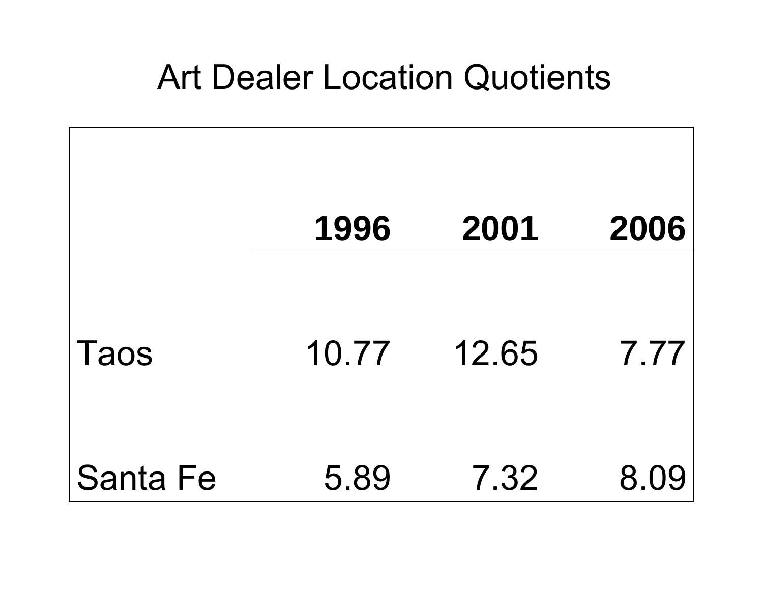### Art Dealer Location Quotients

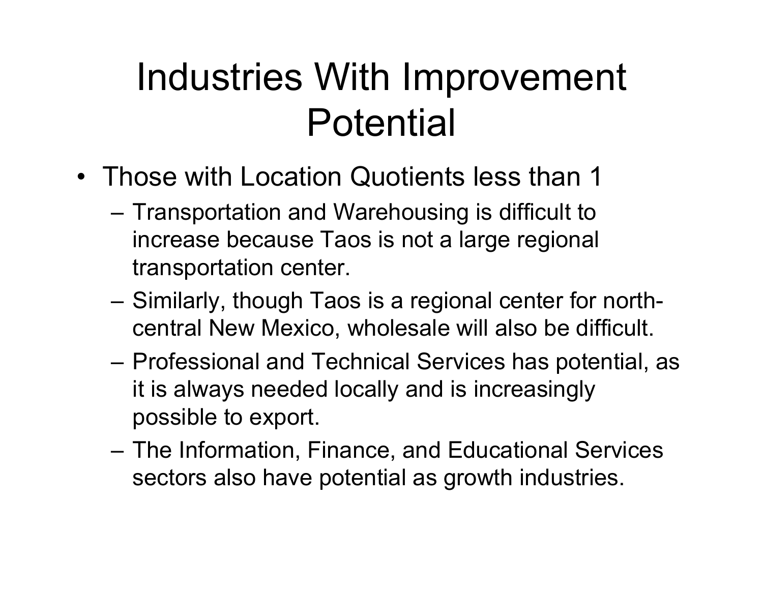### Industries With Improvement Potential

- Those with Location Quotients less than 1
	- – Transportation and Warehousing is difficult to increase because Taos is not a large regional transportation center.
	- – Similarly, though Taos is a regional center for northcentral New Mexico, wholesale will also be difficult.
	- – Professional and Technical Services has potential, as it is always needed locally and is increasingly possible to export.
	- – The Information, Finance, and Educational Services sectors also have potential as growth industries.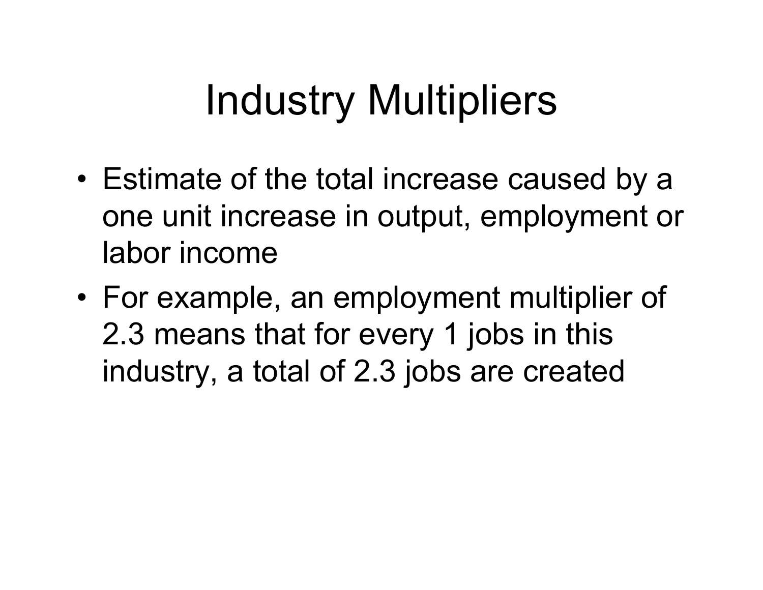## Industry Multipliers

- • Estimate of the total increase caused by a one unit increase in output, employment or labor income
- • For example, an employment multiplier of 2.3 means that for every 1 jobs in this industry, a total of 2.3 jobs are created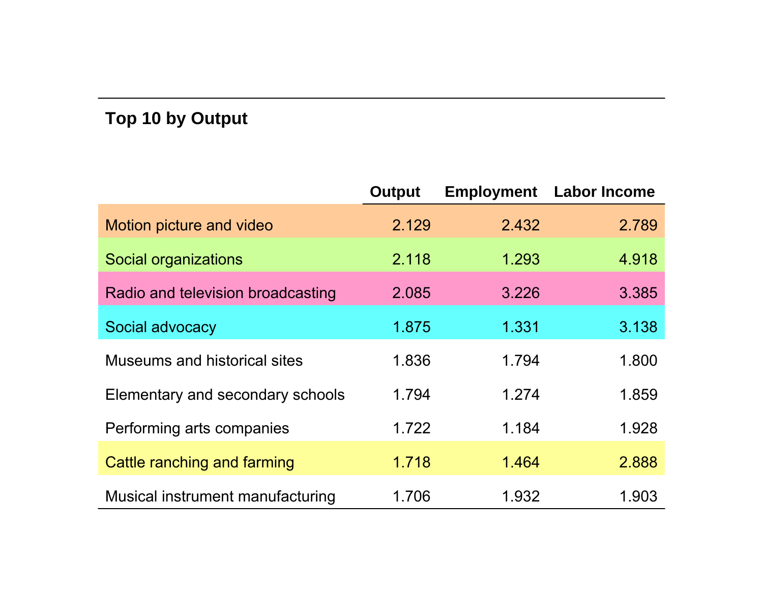#### **Top 10 by Output**

|                                   | <b>Output</b> | <b>Employment</b> | <b>Labor Income</b> |
|-----------------------------------|---------------|-------------------|---------------------|
| Motion picture and video          | 2.129         | 2.432             | 2.789               |
| Social organizations              | 2.118         | 1.293             | 4.918               |
| Radio and television broadcasting | 2.085         | 3.226             | 3.385               |
| Social advocacy                   | 1.875         | 1.331             | 3.138               |
| Museums and historical sites      | 1.836         | 1.794             | 1.800               |
| Elementary and secondary schools  | 1.794         | 1.274             | 1.859               |
| Performing arts companies         | 1.722         | 1.184             | 1.928               |
| Cattle ranching and farming       | 1.718         | 1.464             | 2.888               |
| Musical instrument manufacturing  | 1.706         | 1.932             | 1.903               |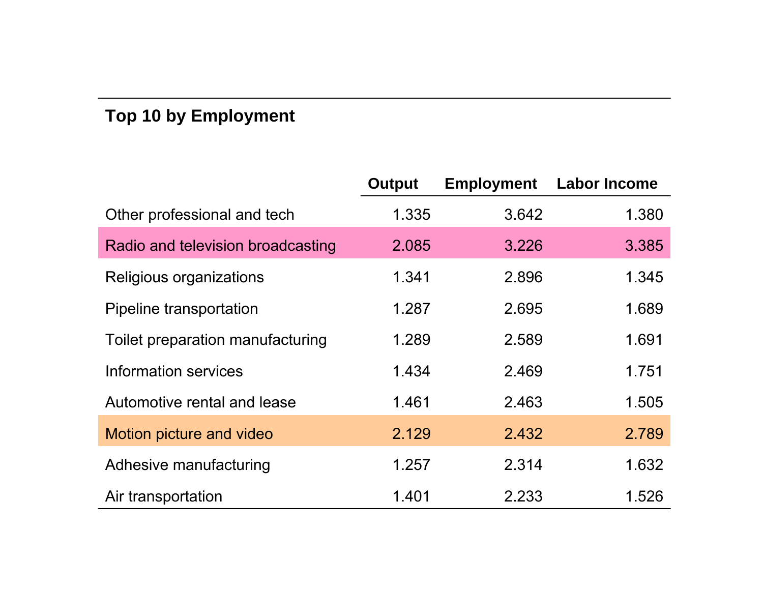#### **Top 10 by Employment**

|                                   | <b>Output</b> | <b>Employment</b> | <b>Labor Income</b> |
|-----------------------------------|---------------|-------------------|---------------------|
| Other professional and tech       | 1.335         | 3.642             | 1.380               |
| Radio and television broadcasting | 2.085         | 3.226             | 3.385               |
| Religious organizations           | 1.341         | 2.896             | 1.345               |
| Pipeline transportation           | 1.287         | 2.695             | 1.689               |
| Toilet preparation manufacturing  | 1.289         | 2.589             | 1.691               |
| Information services              | 1.434         | 2.469             | 1.751               |
| Automotive rental and lease       | 1.461         | 2.463             | 1.505               |
| Motion picture and video          | 2.129         | 2.432             | 2.789               |
| Adhesive manufacturing            | 1.257         | 2.314             | 1.632               |
| Air transportation                | 1.401         | 2.233             | 1.526               |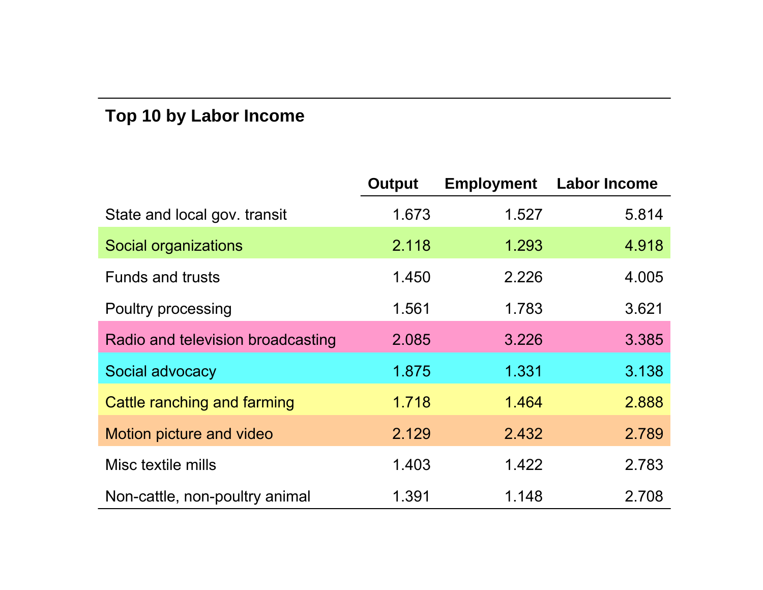#### **Top 10 by Labor Income**

|                                   | <b>Output</b> | <b>Employment</b> | <b>Labor Income</b> |
|-----------------------------------|---------------|-------------------|---------------------|
| State and local gov. transit      | 1.673         | 1.527             | 5.814               |
| Social organizations              | 2.118         | 1.293             | 4.918               |
| <b>Funds and trusts</b>           | 1.450         | 2.226             | 4.005               |
| Poultry processing                | 1.561         | 1.783             | 3.621               |
| Radio and television broadcasting | 2.085         | 3.226             | 3.385               |
| Social advocacy                   | 1.875         | 1.331             | 3.138               |
| Cattle ranching and farming       | 1.718         | 1.464             | 2.888               |
| Motion picture and video          | 2.129         | 2.432             | 2.789               |
| Misc textile mills                | 1.403         | 1.422             | 2.783               |
| Non-cattle, non-poultry animal    | 1.391         | 1.148             | 2.708               |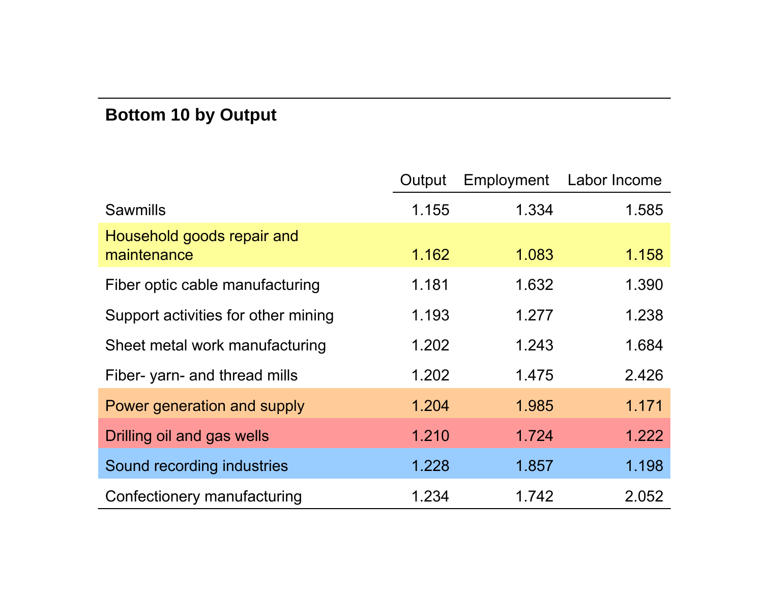#### **Bottom 10 by Output**

|                                           | Output | Employment | Labor Income |
|-------------------------------------------|--------|------------|--------------|
| <b>Sawmills</b>                           | 1.155  | 1.334      | 1.585        |
| Household goods repair and<br>maintenance | 1.162  | 1.083      | 1.158        |
| Fiber optic cable manufacturing           | 1.181  | 1.632      | 1.390        |
| Support activities for other mining       | 1.193  | 1.277      | 1.238        |
| Sheet metal work manufacturing            | 1.202  | 1.243      | 1.684        |
| Fiber- yarn- and thread mills             | 1.202  | 1.475      | 2.426        |
| Power generation and supply               | 1.204  | 1.985      | 1.171        |
| Drilling oil and gas wells                | 1.210  | 1.724      | 1.222        |
| Sound recording industries                | 1.228  | 1.857      | 1.198        |
| Confectionery manufacturing               | 1.234  | 1.742      | 2.052        |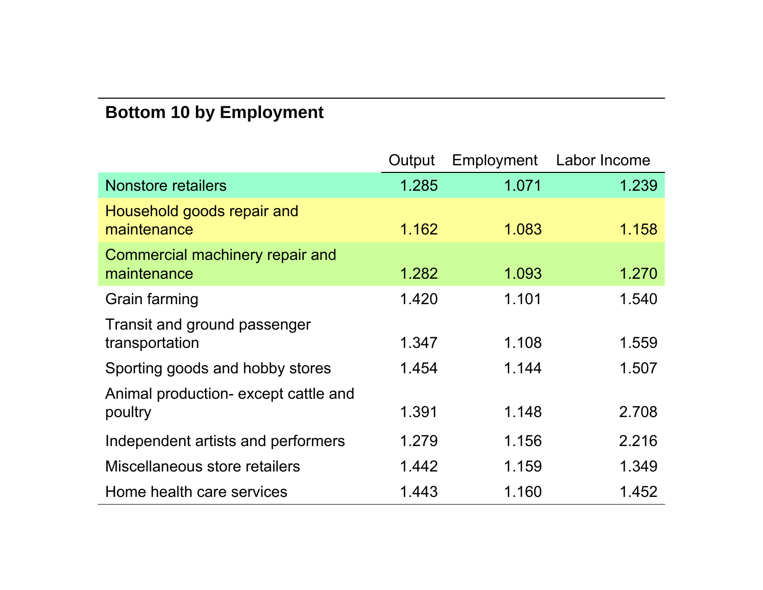#### **Bottom 10 by Employment**

|                                                 | Output | Employment | Labor Income |
|-------------------------------------------------|--------|------------|--------------|
| <b>Nonstore retailers</b>                       | 1.285  | 1.071      | 1.239        |
| Household goods repair and<br>maintenance       | 1.162  | 1.083      | 1.158        |
| Commercial machinery repair and<br>maintenance  | 1.282  | 1.093      | 1.270        |
| Grain farming                                   | 1.420  | 1.101      | 1.540        |
| Transit and ground passenger<br>transportation  | 1.347  | 1.108      | 1.559        |
| Sporting goods and hobby stores                 | 1.454  | 1.144      | 1.507        |
| Animal production- except cattle and<br>poultry | 1.391  | 1.148      | 2.708        |
| Independent artists and performers              | 1.279  | 1.156      | 2.216        |
| Miscellaneous store retailers                   | 1.442  | 1.159      | 1.349        |
| Home health care services                       | 1.443  | 1.160      | 1.452        |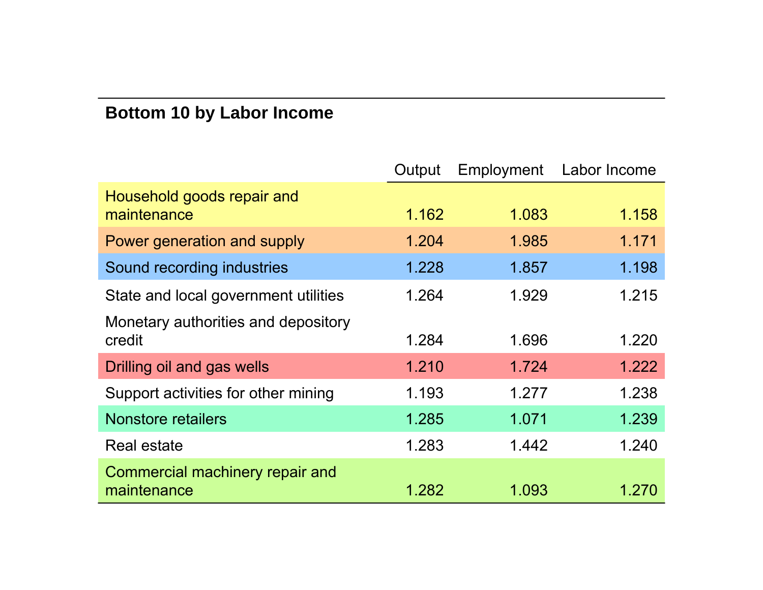### **Bottom 10 by Labor Income**

|                                                | Output | Employment | Labor Income |
|------------------------------------------------|--------|------------|--------------|
| Household goods repair and<br>maintenance      | 1.162  | 1.083      | 1.158        |
| Power generation and supply                    | 1.204  | 1.985      | 1.171        |
| Sound recording industries                     | 1.228  | 1.857      | 1.198        |
| State and local government utilities           | 1.264  | 1.929      | 1.215        |
| Monetary authorities and depository<br>credit  | 1.284  | 1.696      | 1.220        |
| Drilling oil and gas wells                     | 1.210  | 1.724      | 1.222        |
| Support activities for other mining            | 1.193  | 1.277      | 1.238        |
| <b>Nonstore retailers</b>                      | 1.285  | 1.071      | 1.239        |
| <b>Real estate</b>                             | 1.283  | 1.442      | 1.240        |
| Commercial machinery repair and<br>maintenance | 1.282  | 1.093      | 1.270        |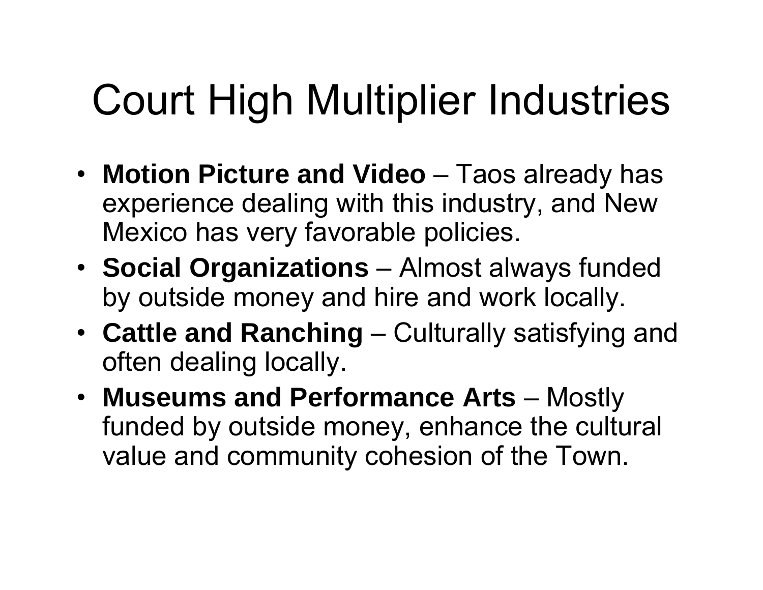# Court High Multiplier Industries

- **Motion Picture and Video** Taos already has experience dealing with this industry, and New Mexico has very favorable policies.
- **Social Organizations** Almost always funded by outside money and hire and work locally.
- **Cattle and Ranching** Culturally satisfying and often dealing locally.
- **Museums and Performance Arts** Mostly funded by outside money, enhance the cultural value and community cohesion of the Town.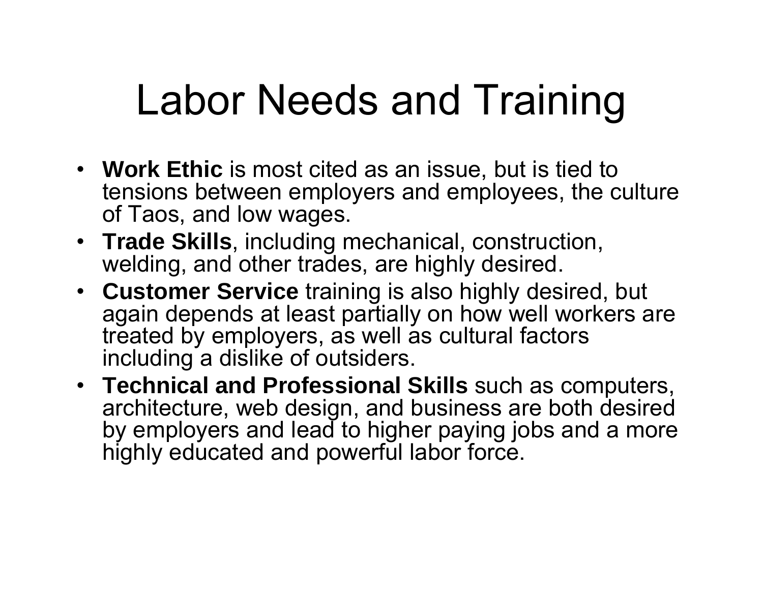### Labor Needs and Training

- **Work Ethic** is most cited as an issue, but is tied to tensions between employers and employees, the culture of Taos, and low wages.
- **Trade Skills**, including mechanical, construction, welding, and other trades, are highly desired.
- **Customer Service** training is also highly desired, but again depends at least partially on how well workers are treated by employers, as well as cultural factors including a dislike of outsiders.
- **Technical and Professional Skills** such as computers, architecture, web design, and business are both desired by employers and lead to higher paying jobs and a more highly educated and powerful labor force.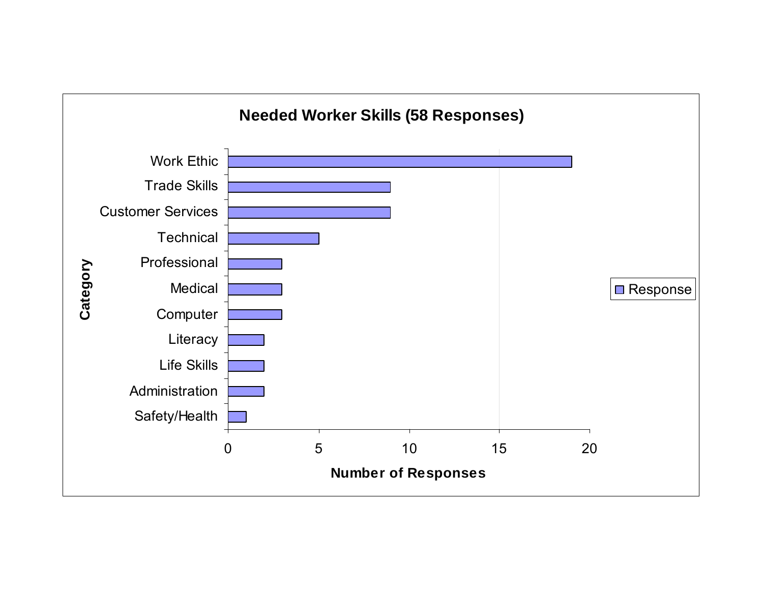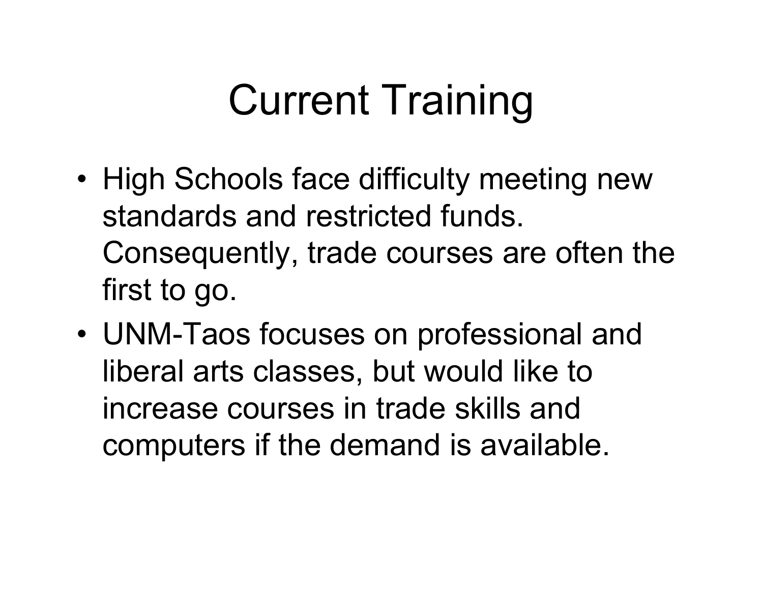## Current Training

- • High Schools face difficulty meeting new standards and restricted funds. Consequently, trade courses are often the first to go.
- • UNM-Taos focuses on professional and liberal arts classes, but would like to increase courses in trade skills and computers if the demand is available.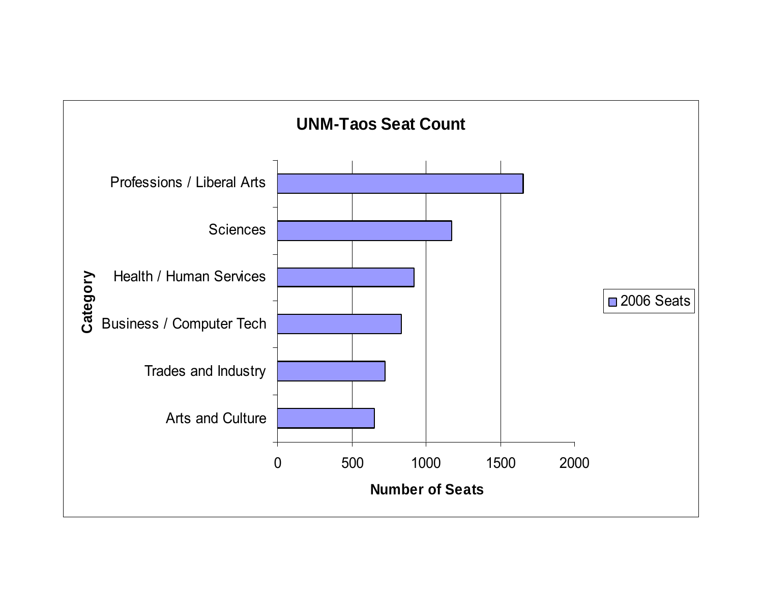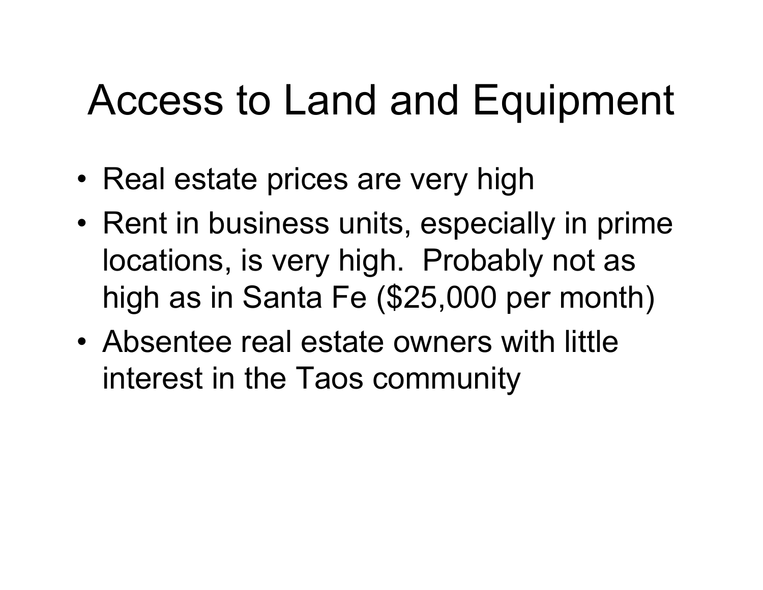### Access to Land and Equipment

- Real estate prices are very high
- Rent in business units, especially in prime locations, is very high. Probably not as high as in Santa Fe (\$25,000 per month)
- Absentee real estate owners with little interest in the Taos community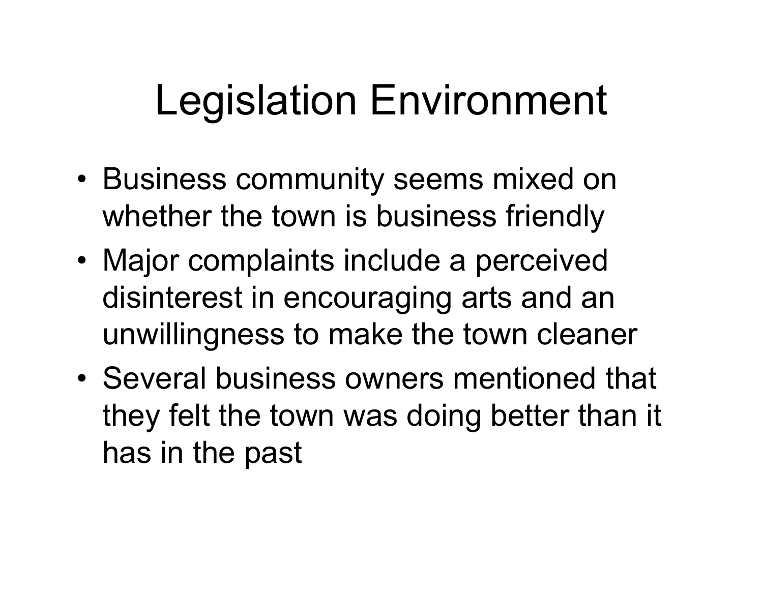### Legislation Environment

- Business community seems mixed on whether the town is business friendly
- Major complaints include a perceived disinterest in encouraging arts and an unwillingness to make the town cleaner
- Several business owners mentioned that they felt the town was doing better than it has in the past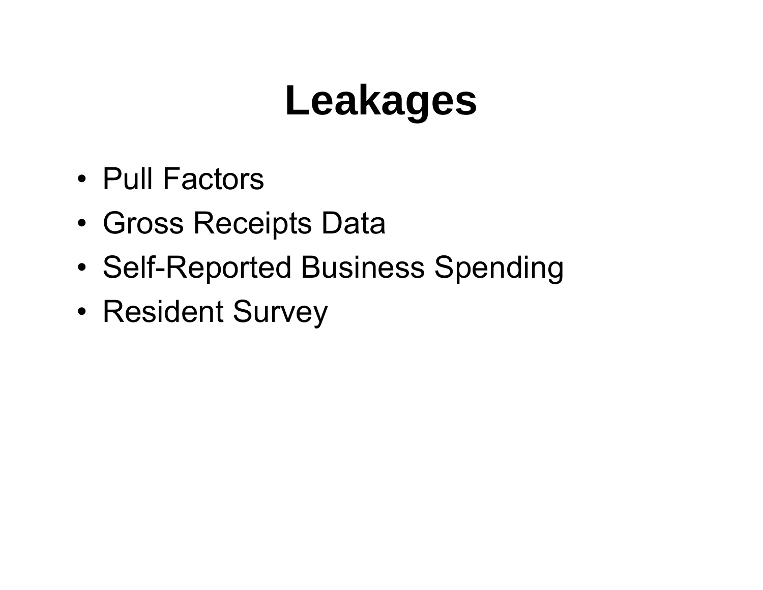### **Leakages**

- Pull Factors
- •Gross Receipts Data
- •Self-Reported Business Spending
- •Resident Survey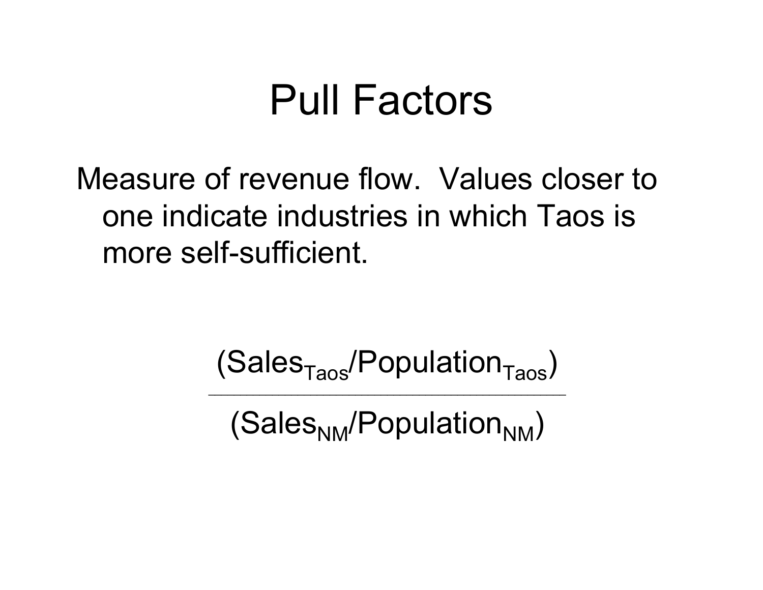### Pull Factors

Measure of revenue flow. Values closer to one indicate industries in which Taos is more self-sufficient.

 $(Sales<sub>Taos</sub>/Population<sub>Taos</sub>)$ 

\_\_\_\_\_\_\_\_\_\_\_\_\_\_\_\_\_\_\_\_\_\_\_\_\_\_\_\_\_\_\_\_\_\_\_\_\_\_\_\_\_\_\_\_\_\_\_\_\_\_\_\_\_\_\_\_

 $(Sales<sub>NM</sub>/Population<sub>NM</sub>)$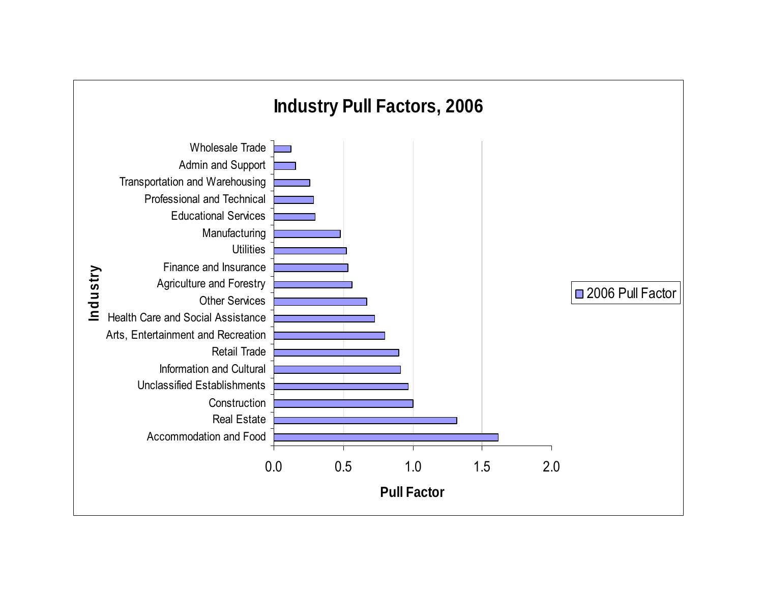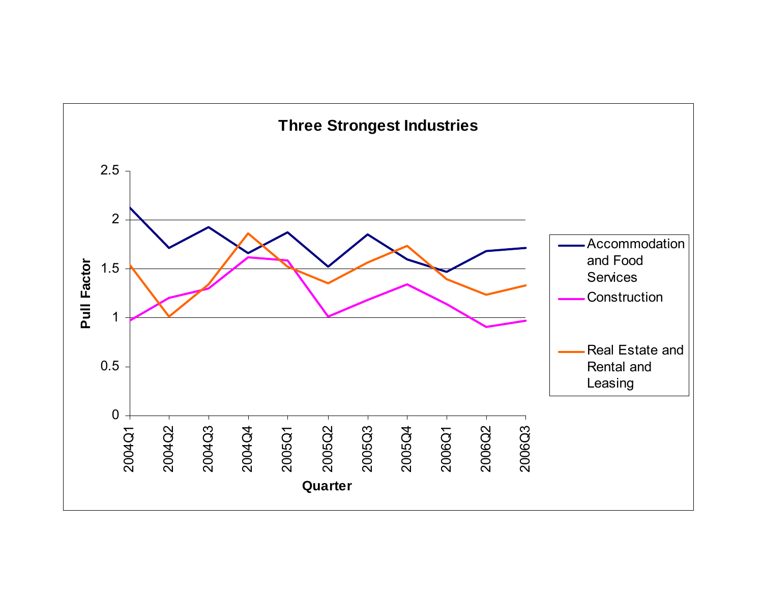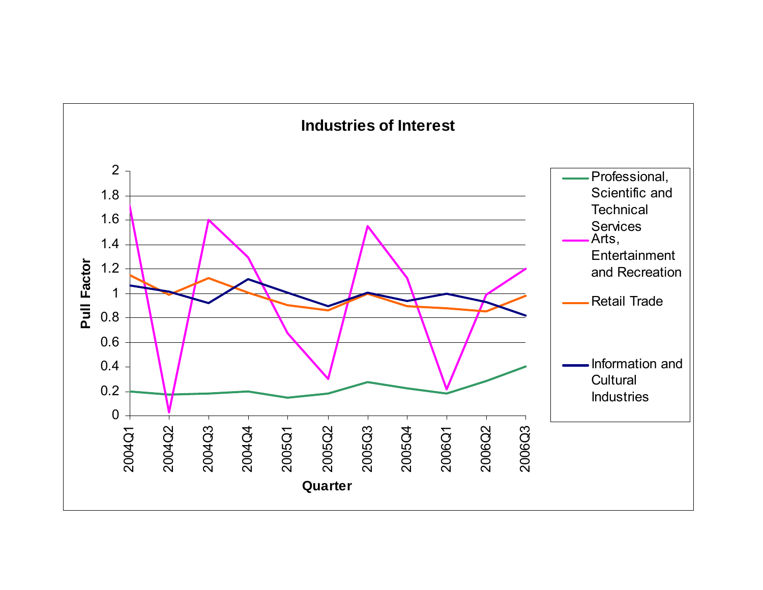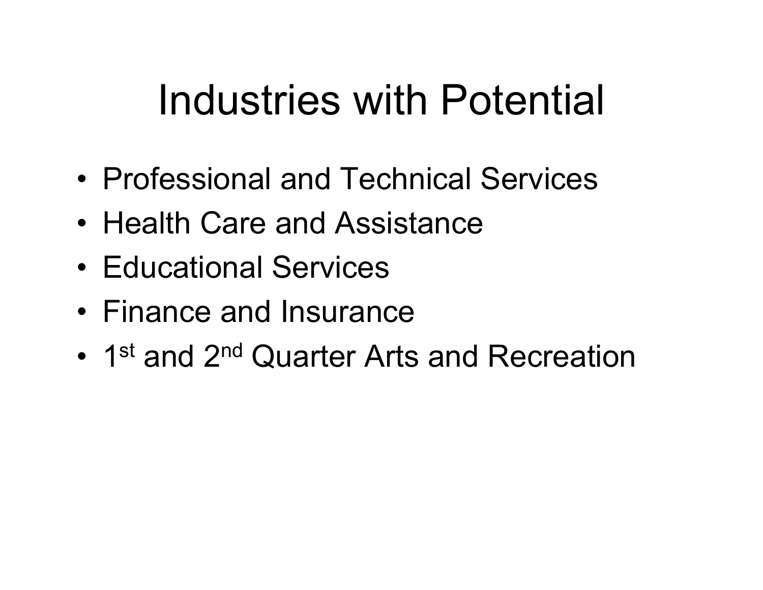## Industries with Potential

- Professional and Technical Services
- Health Care and Assistance
- Educational Services
- Finance and Insurance
- •1<sup>st</sup> and 2<sup>nd</sup> Quarter Arts and Recreation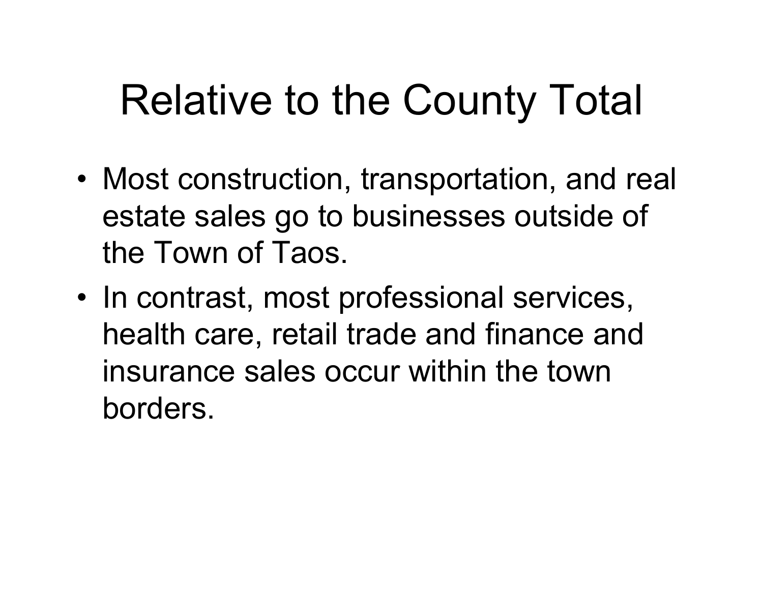## Relative to the County Total

- Most construction, transportation, and real estate sales go to businesses outside of the Town of Taos.
- • In contrast, most professional services, health care, retail trade and finance and insurance sales occur within the town borders.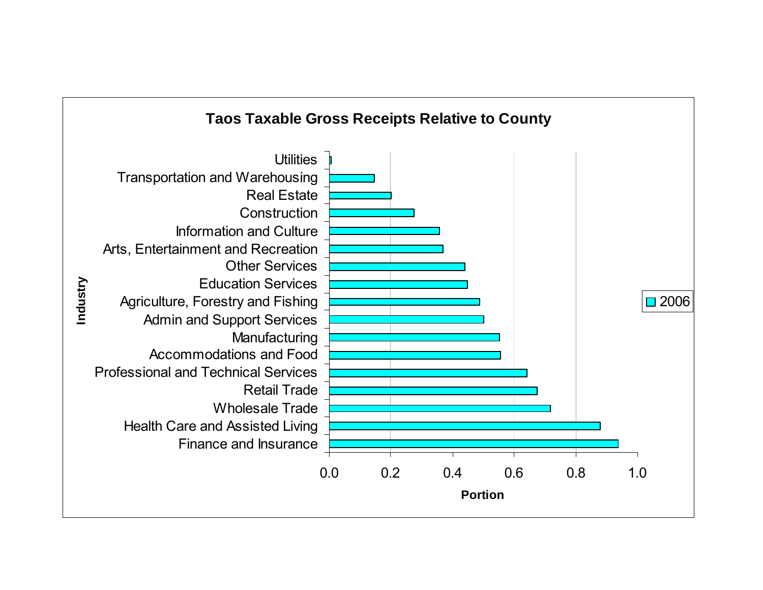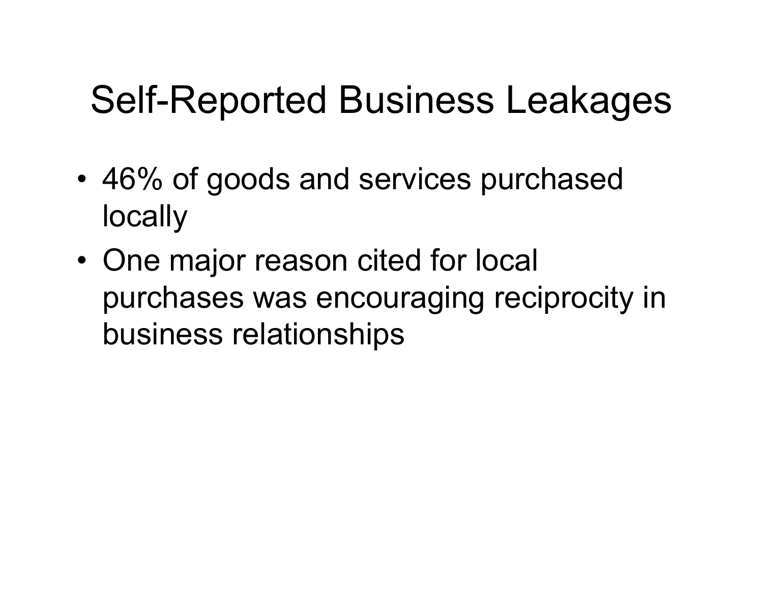### Self-Reported Business Leakages

- • 46% of goods and services purchased locally
- • One major reason cited for local purchases was encouraging reciprocity in business relationships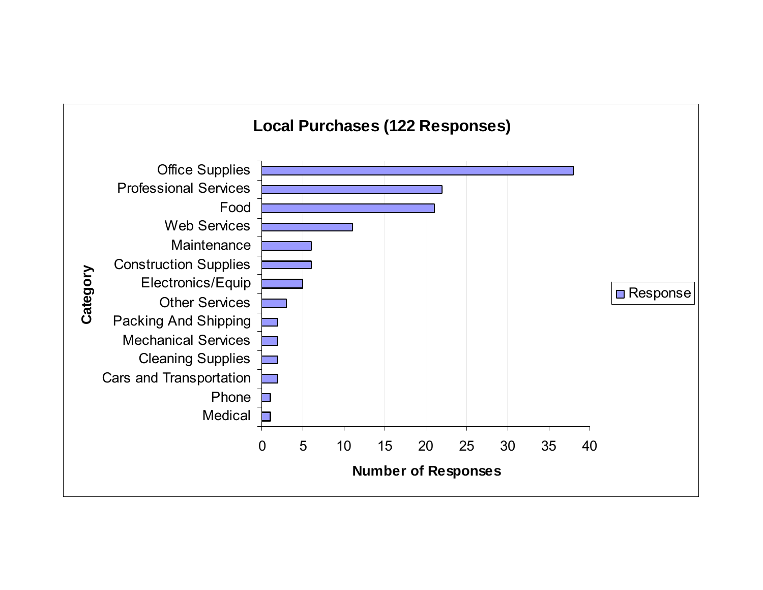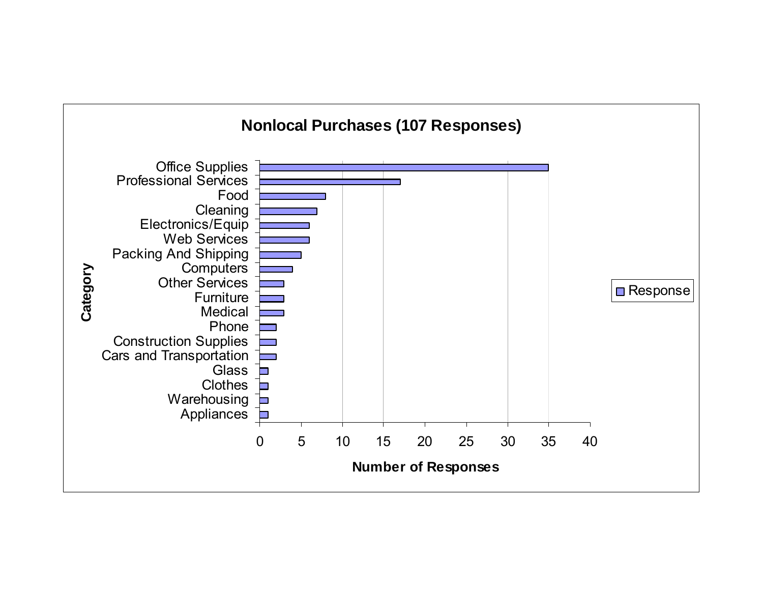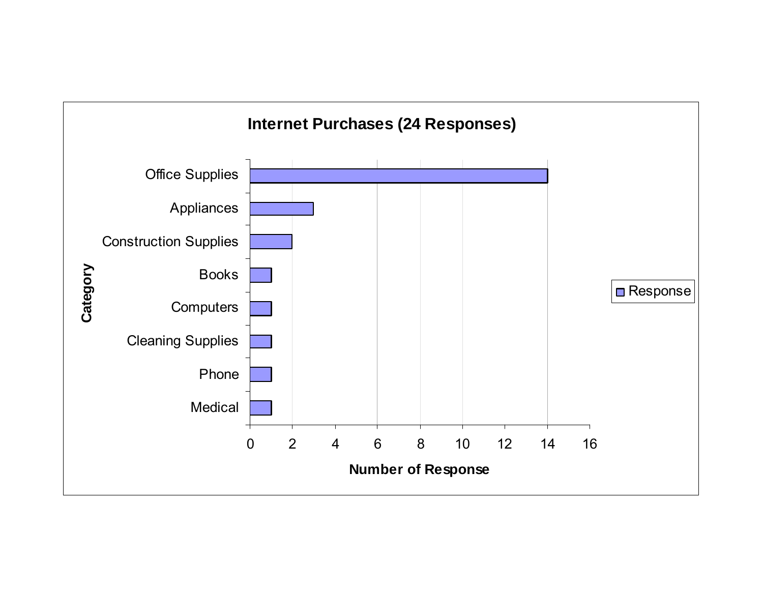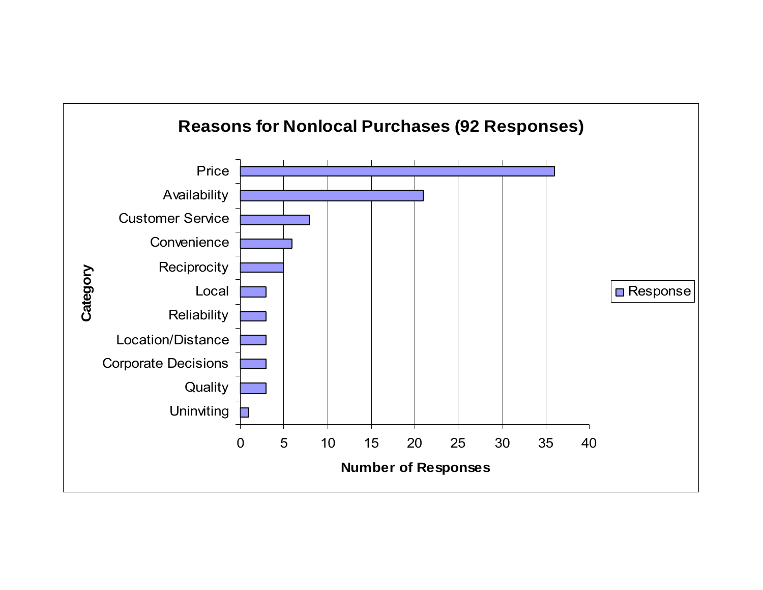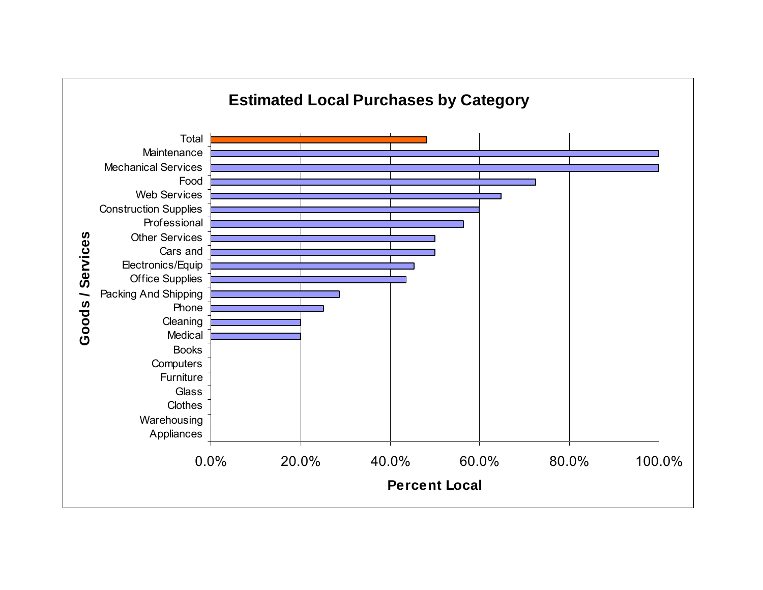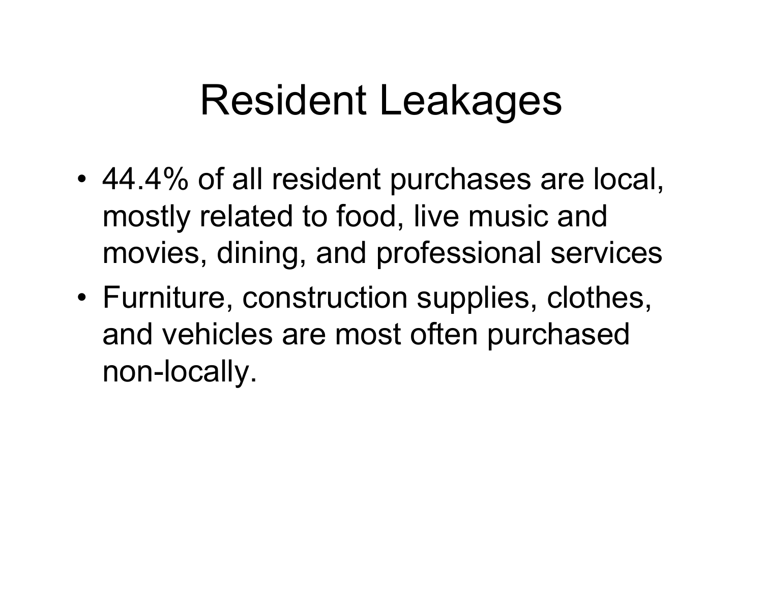### Resident Leakages

- • 44.4% of all resident purchases are local, mostly related to food, live music and movies, dining, and professional services
- Furniture, construction supplies, clothes, and vehicles are most often purchased non-locally.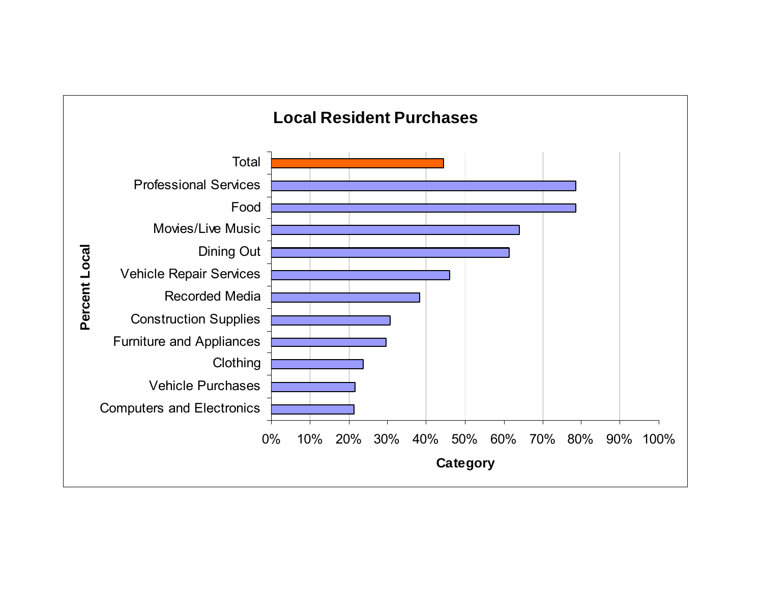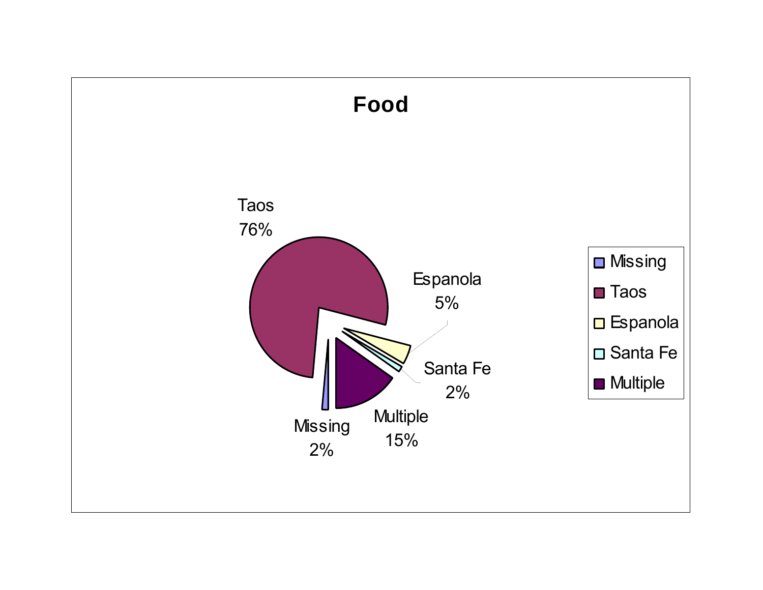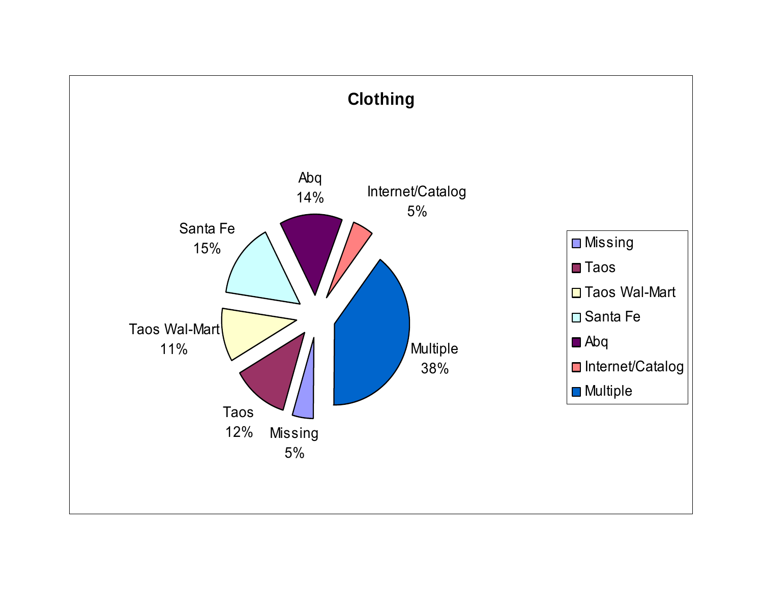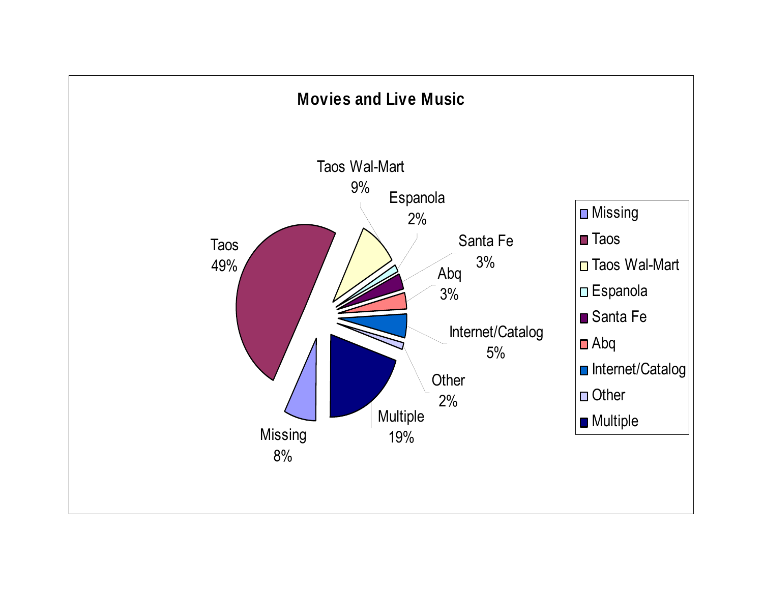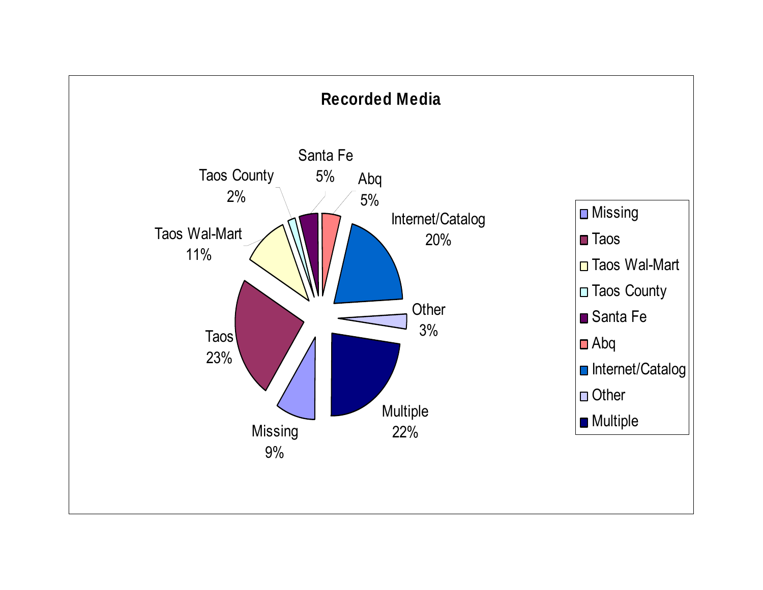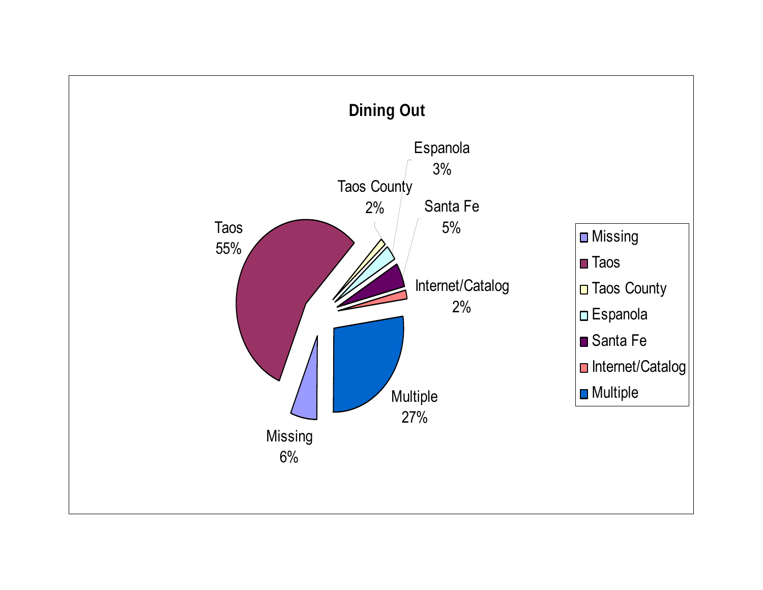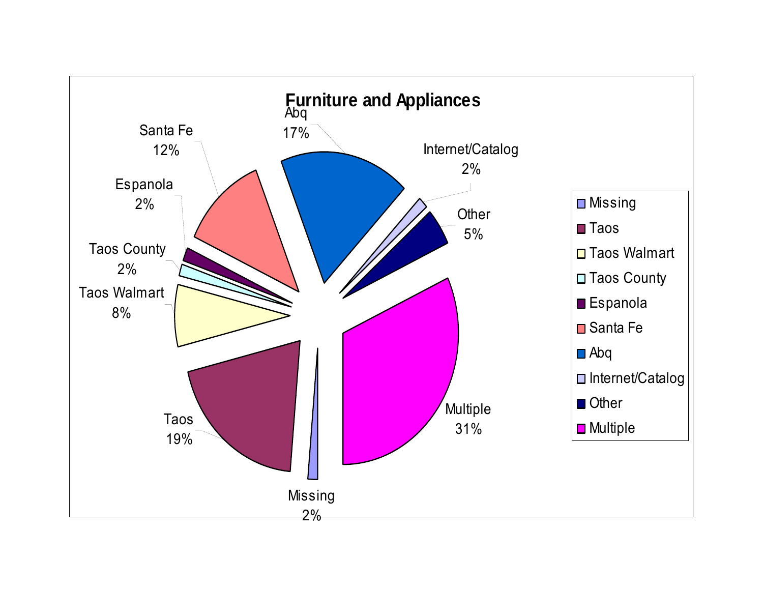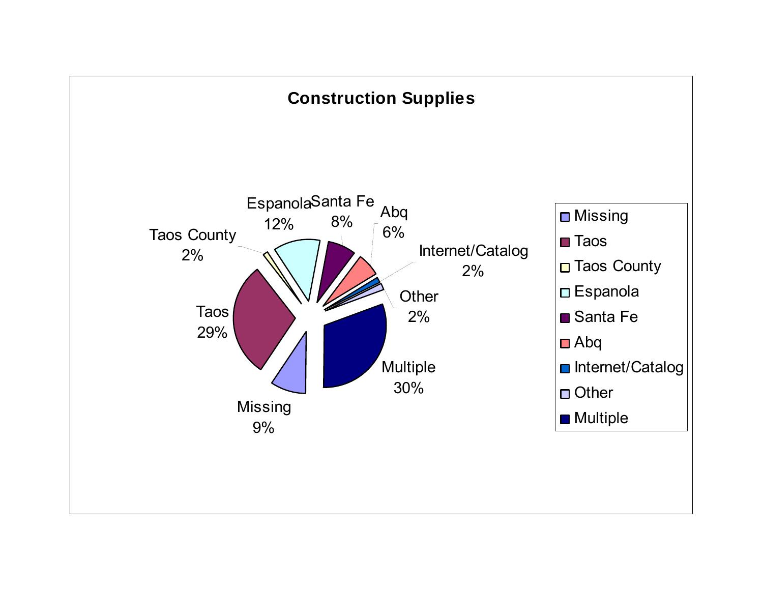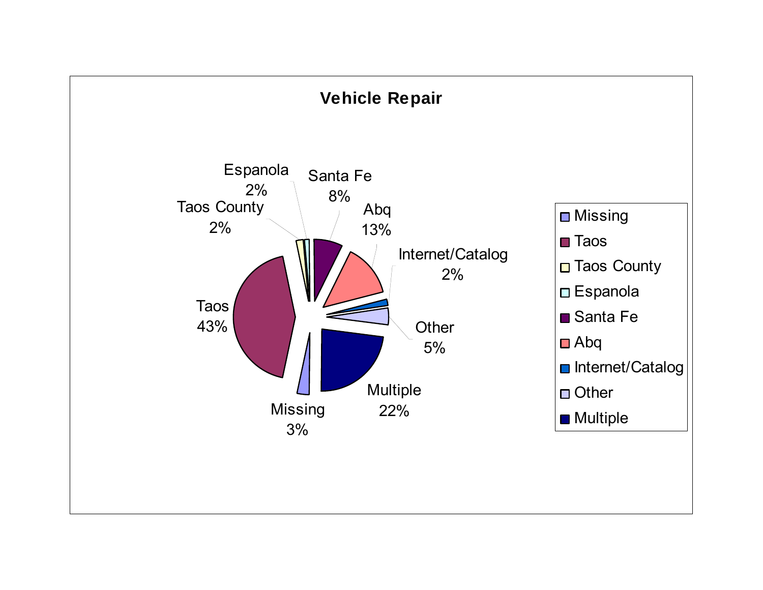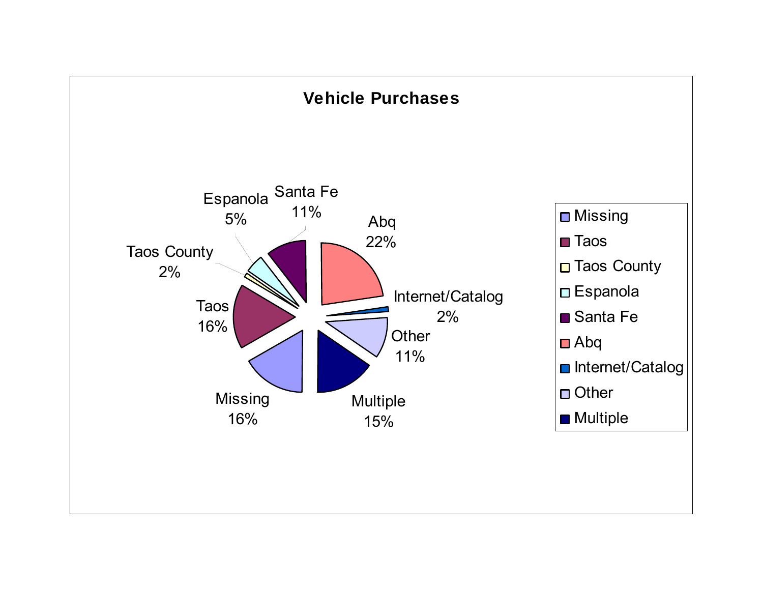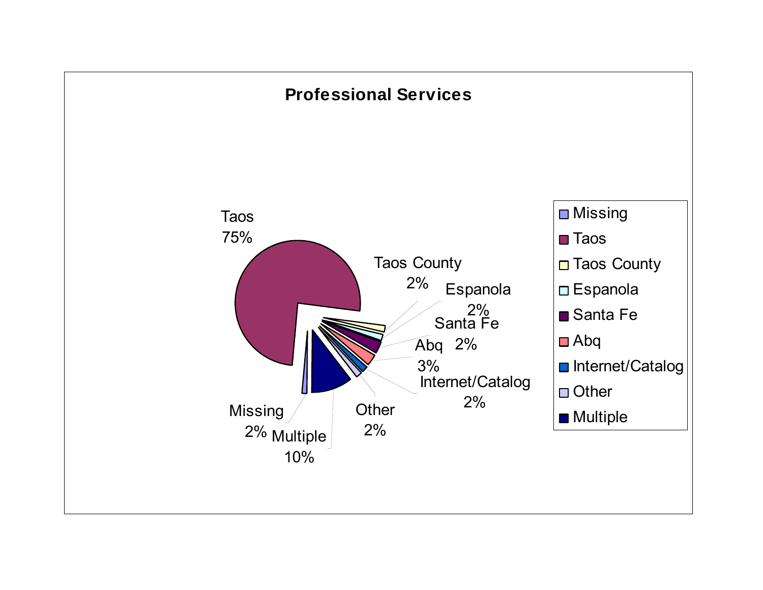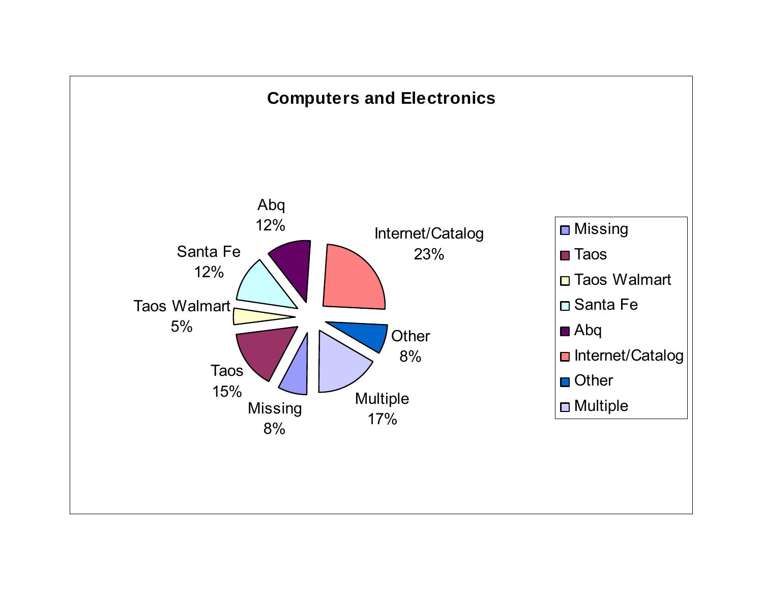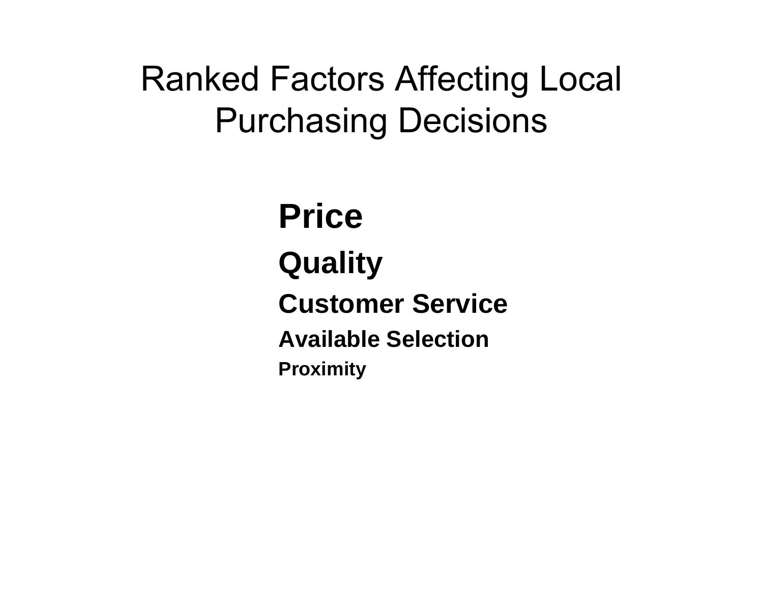#### Ranked Factors Affecting Local Purchasing Decisions

**PriceQuality Customer ServiceAvailable SelectionProximity**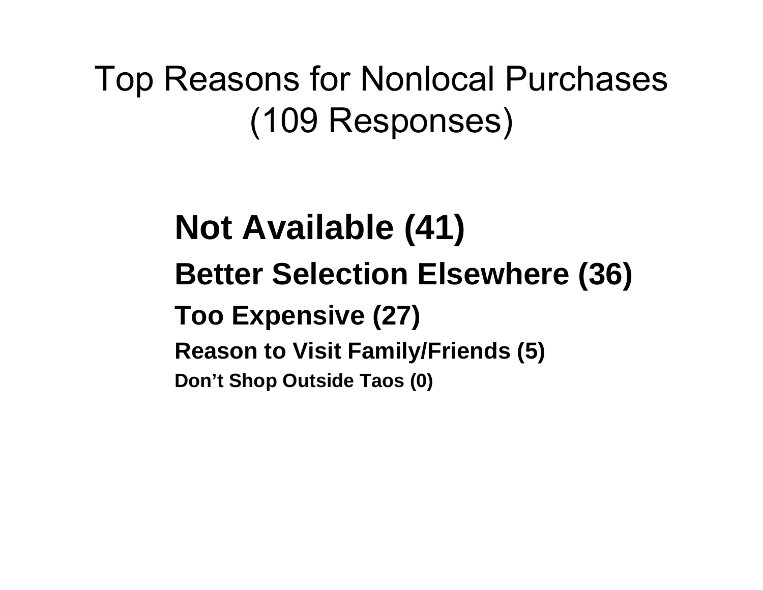Top Reasons for Nonlocal Purchases (109 Responses)

> **Not Available (41) Better Selection Elsewhere (36) Too Expensive (27) Reason to Visit Family/Friends (5) Don't Shop Outside Taos (0)**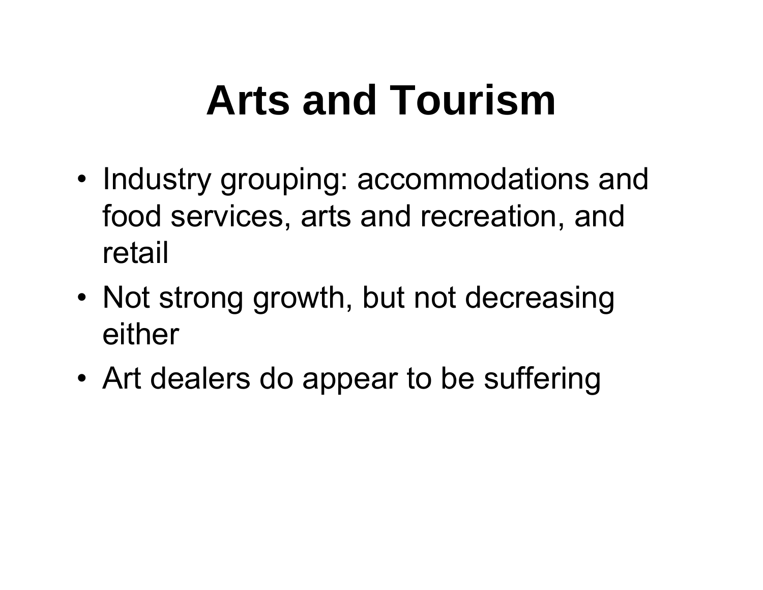# **Arts and Tourism**

- Industry grouping: accommodations and food services, arts and recreation, and retail
- Not strong growth, but not decreasing either
- •Art dealers do appear to be suffering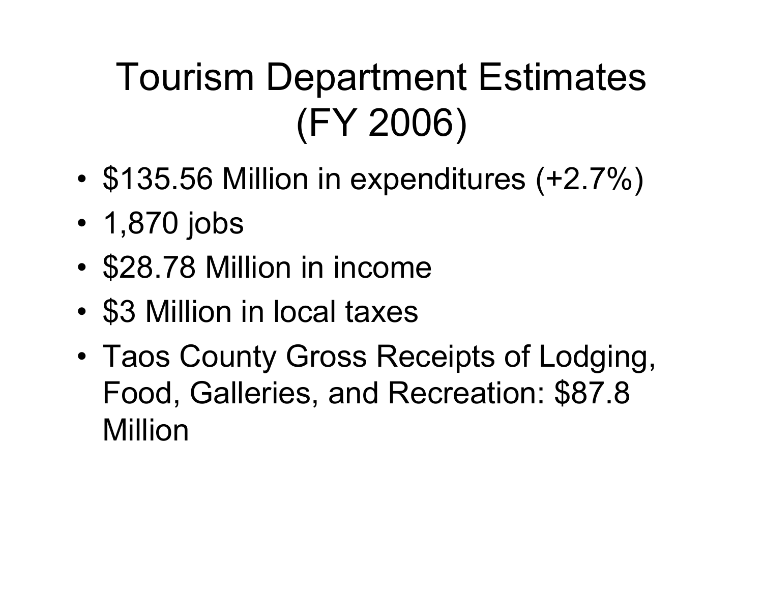## Tourism Department Estimates (FY 2006)

- •\$135.56 Million in expenditures (+2.7%)
- 1,870 jobs
- •\$28.78 Million in income
- •\$3 Million in local taxes
- • Taos County Gross Receipts of Lodging, Food, Galleries, and Recreation: \$87.8 Million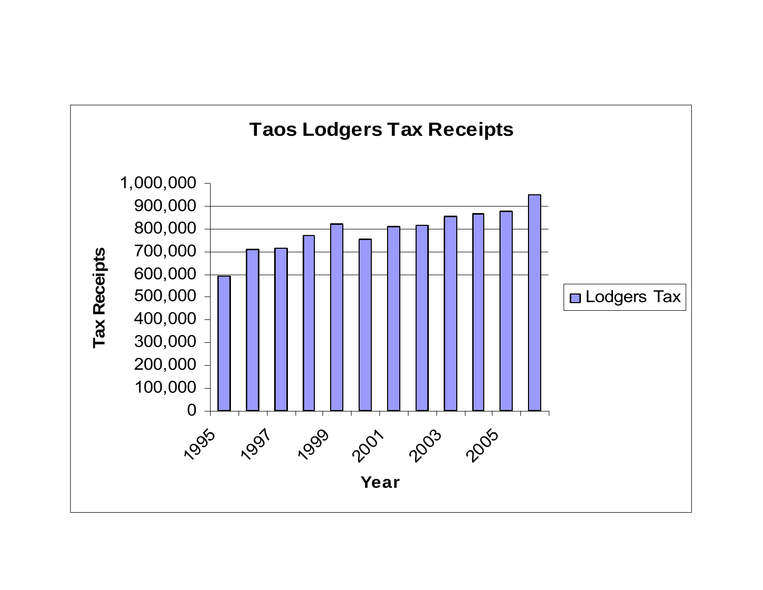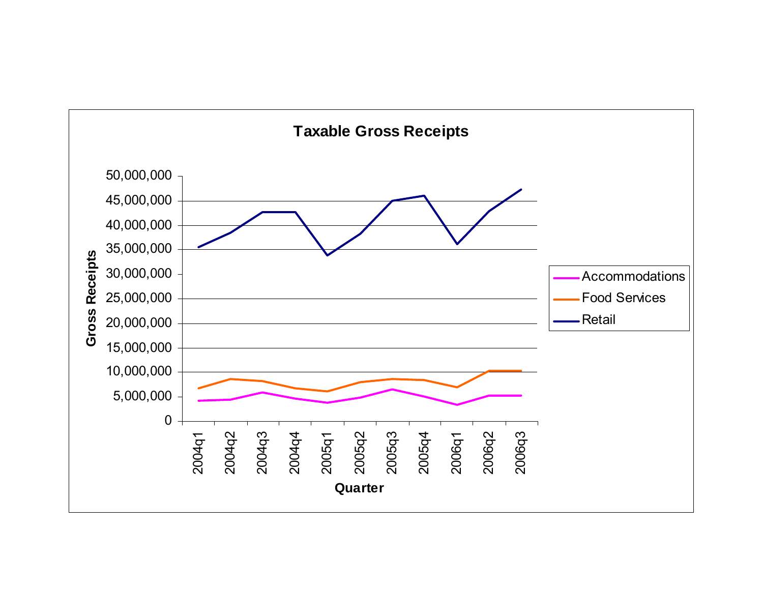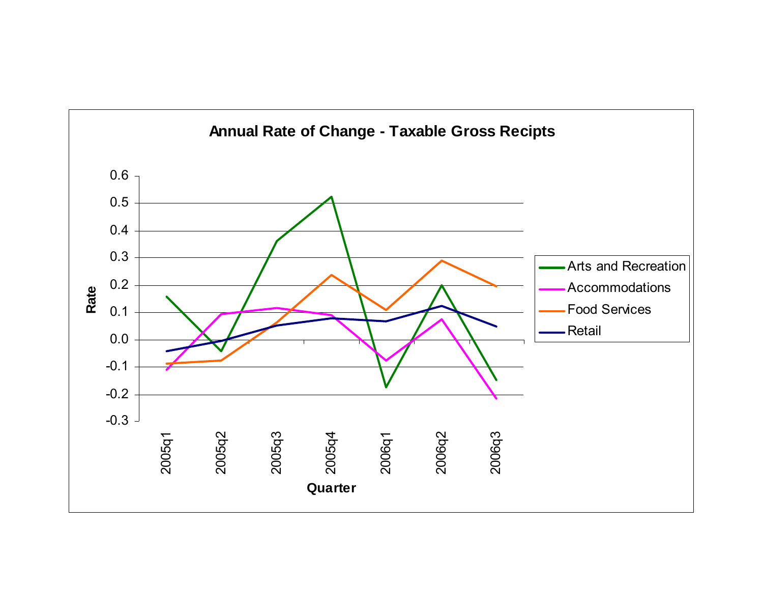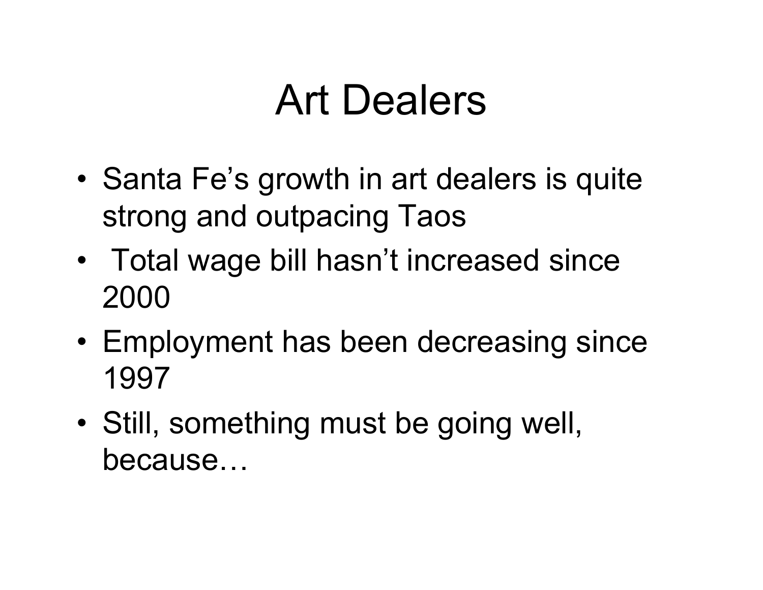### Art Dealers

- • Santa Fe's growth in art dealers is quite strong and outpacing Taos
- Total wage bill hasn't increased since 2000
- Employment has been decreasing since 1997
- • Still, something must be going well, because…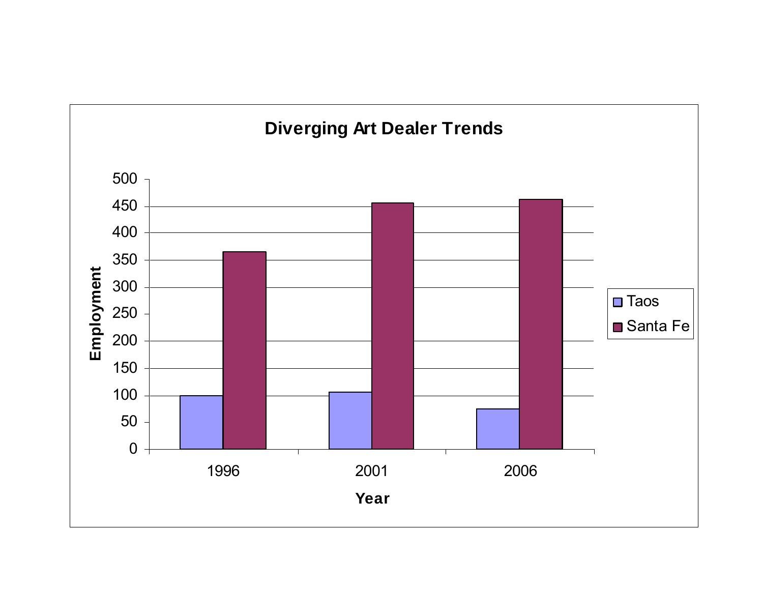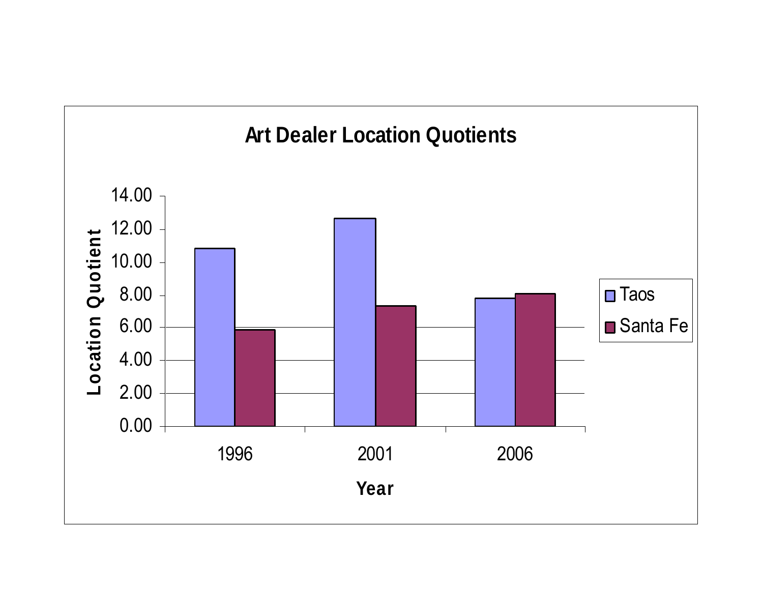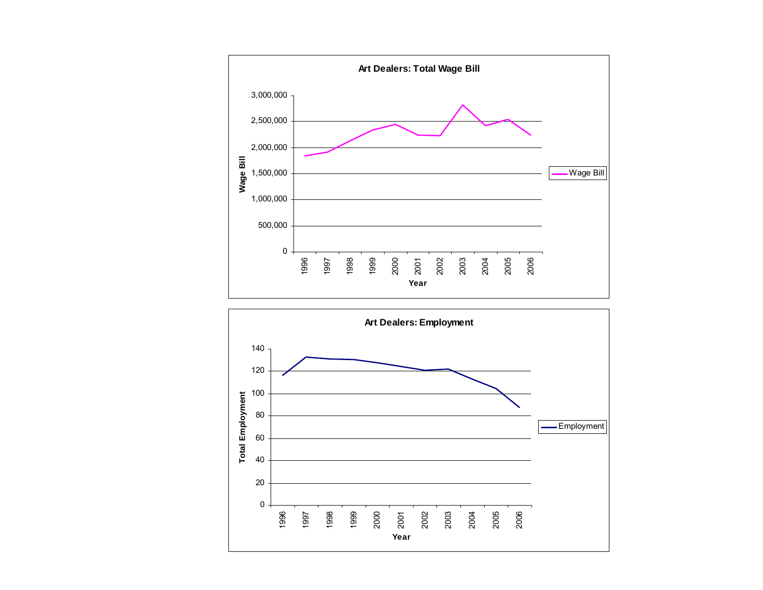

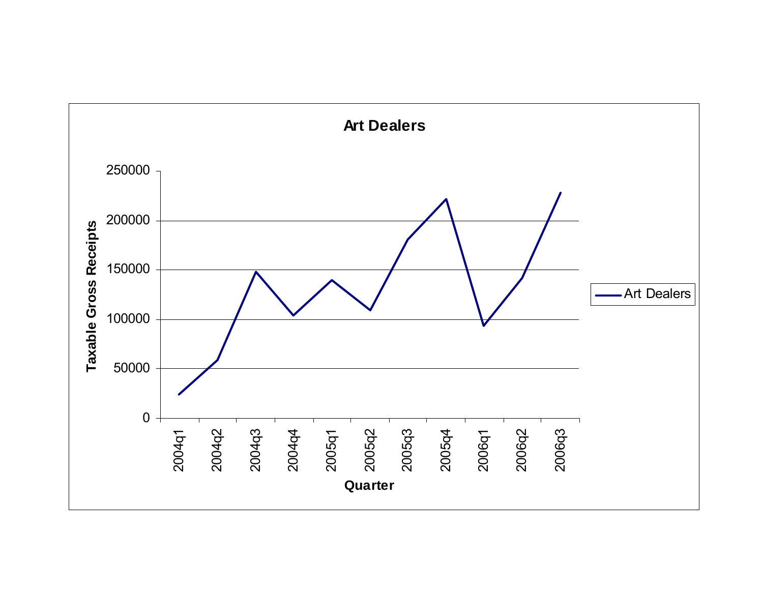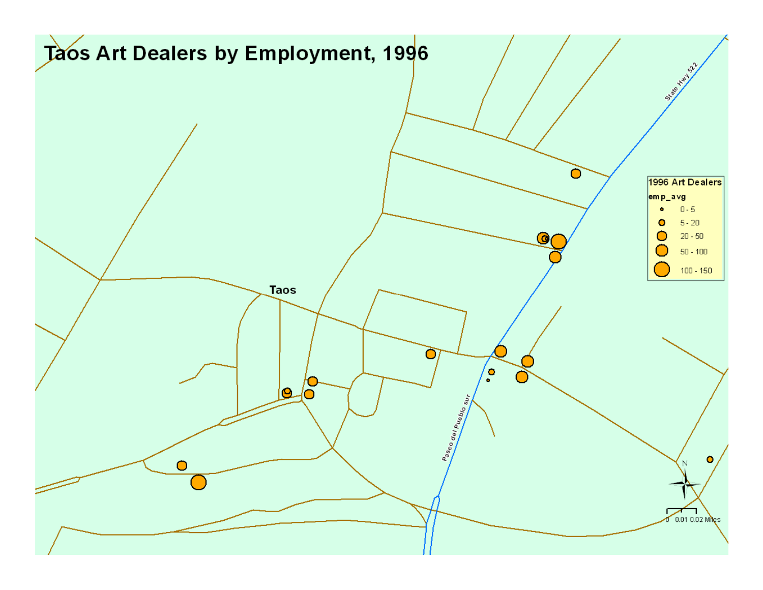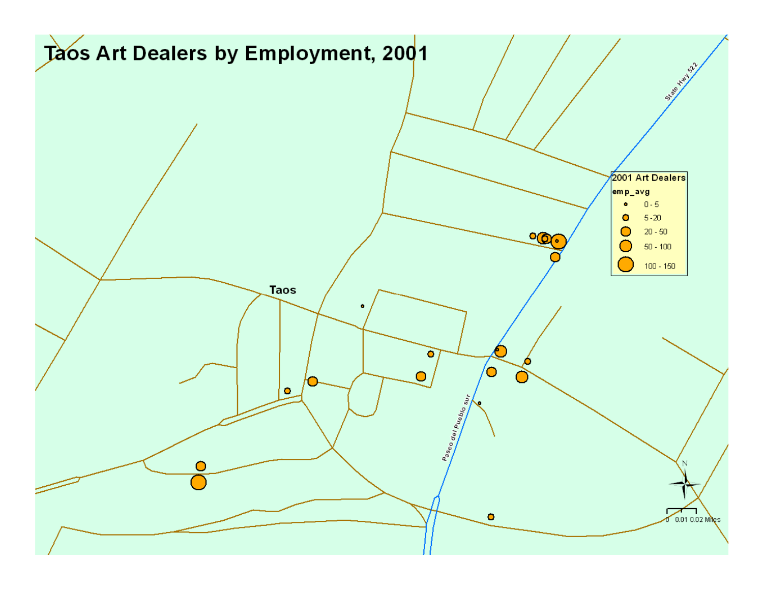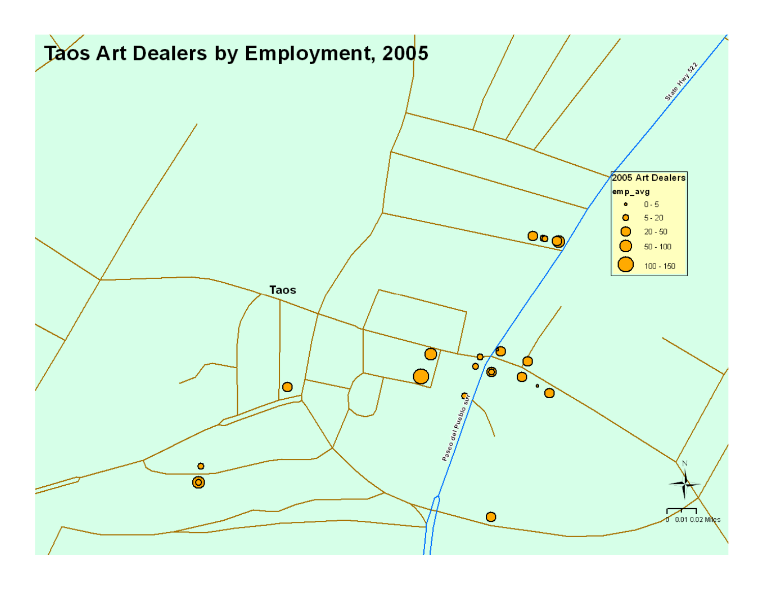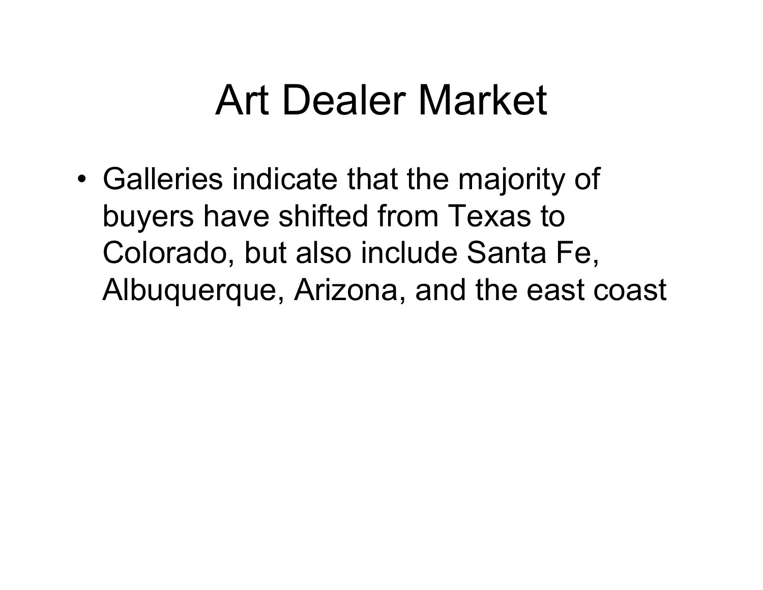## Art Dealer Market

• Galleries indicate that the majority of buyers have shifted from Texas to Colorado, but also include Santa Fe, Albuquerque, Arizona, and the east coast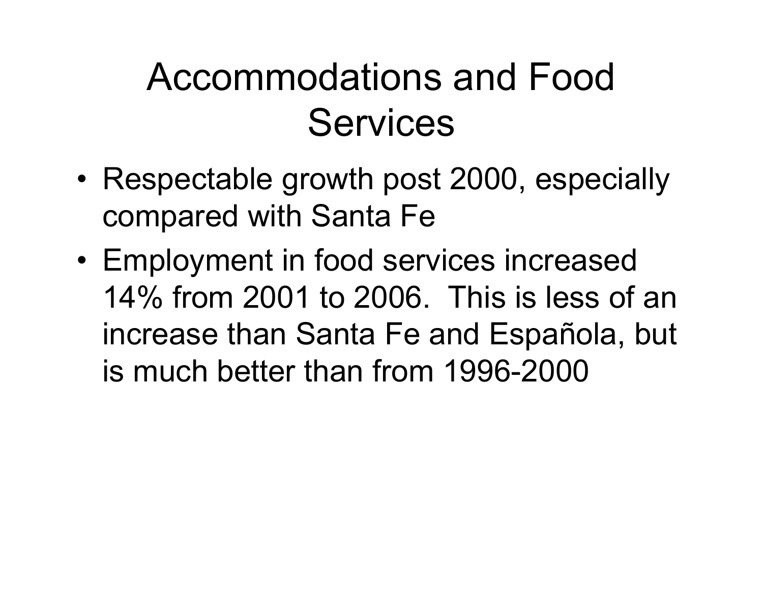#### Accommodations and Food **Services**

- Respectable growth post 2000, especially compared with Santa Fe
- • Employment in food services increased 14% from 2001 to 2006. This is less of an increase than Santa Fe and Española, but is much better than from 1996-2000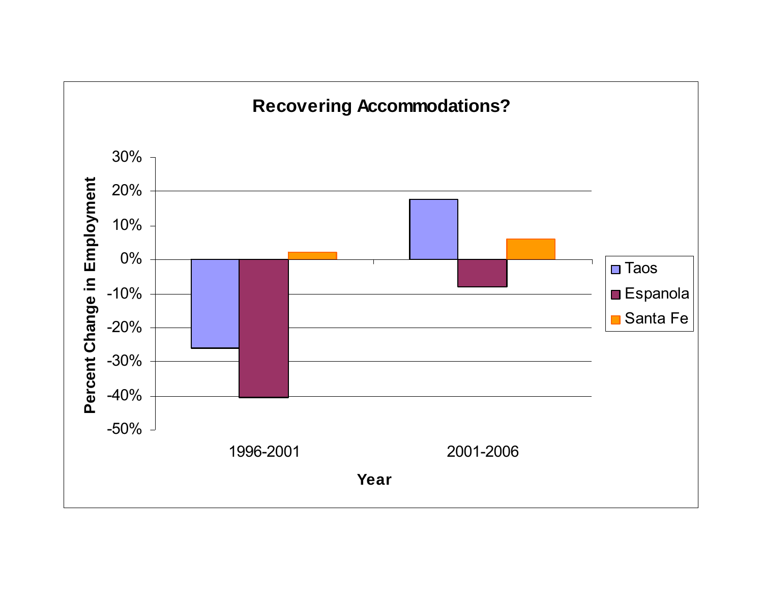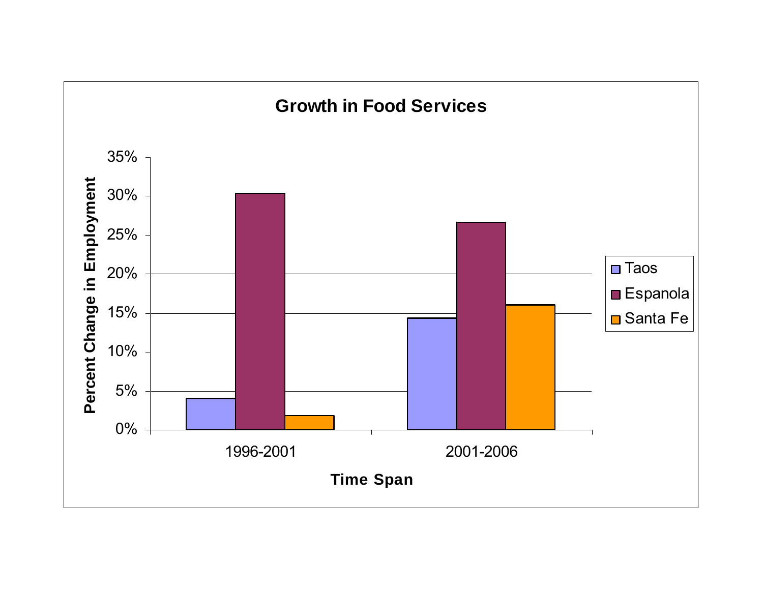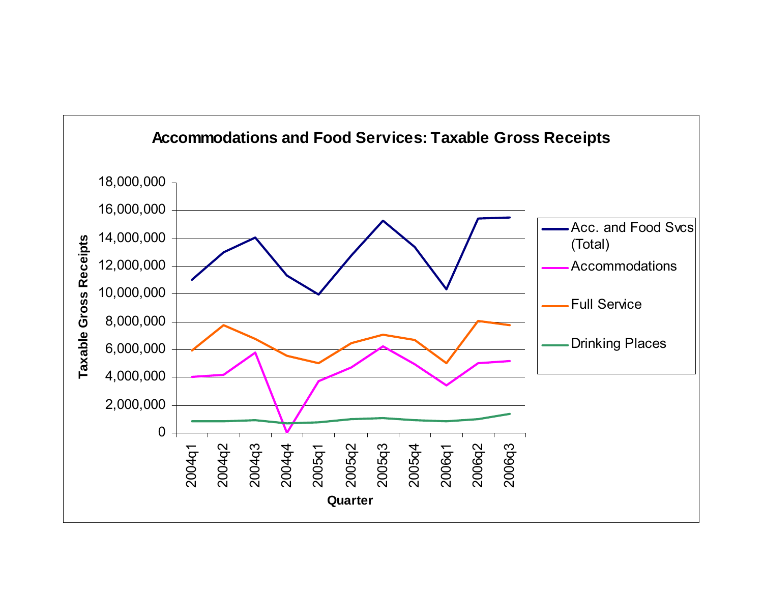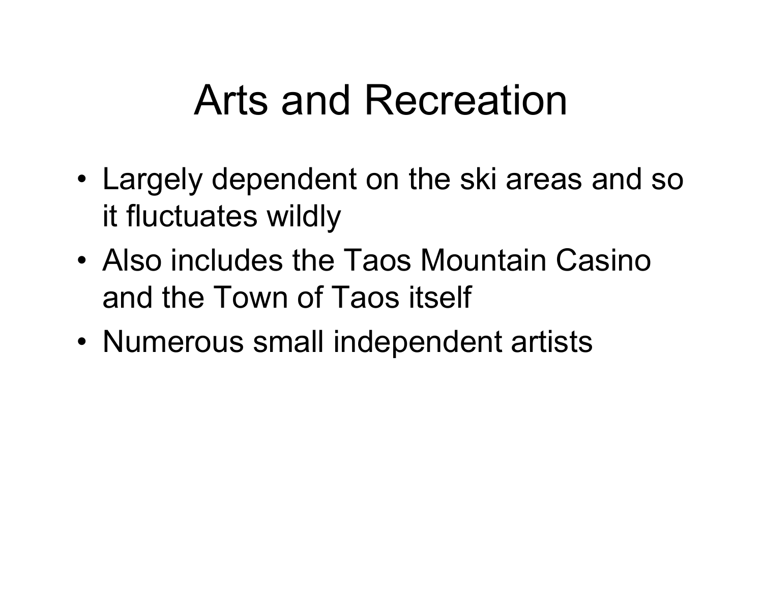## Arts and Recreation

- Largely dependent on the ski areas and so it fluctuates wildly
- Also includes the Taos Mountain Casino and the Town of Taos itself
- Numerous small independent artists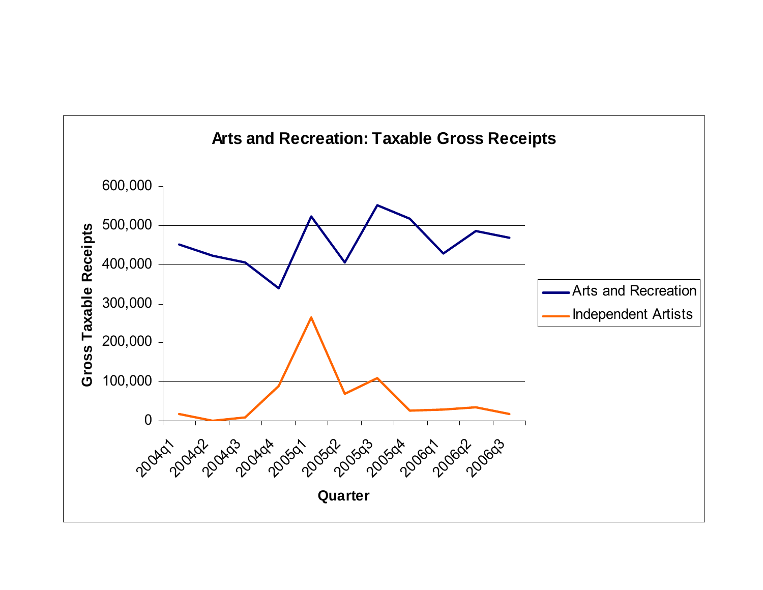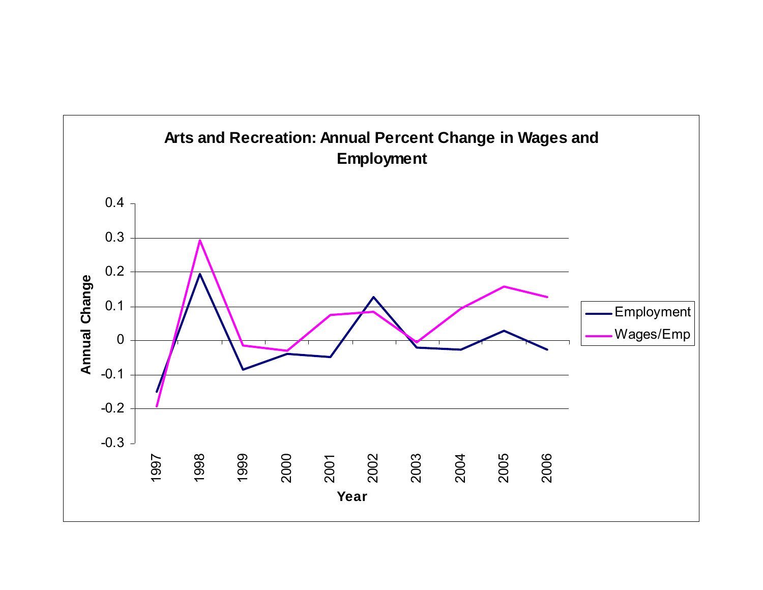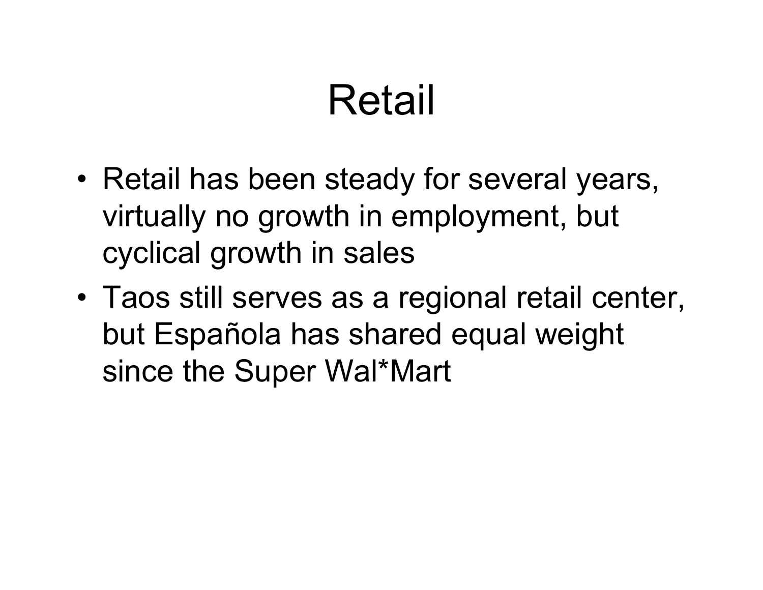# Retail

- • Retail has been steady for several years, virtually no growth in employment, but cyclical growth in sales
- Taos still serves as a regional retail center, but Española has shared equal weight since the Super Wal\*Mart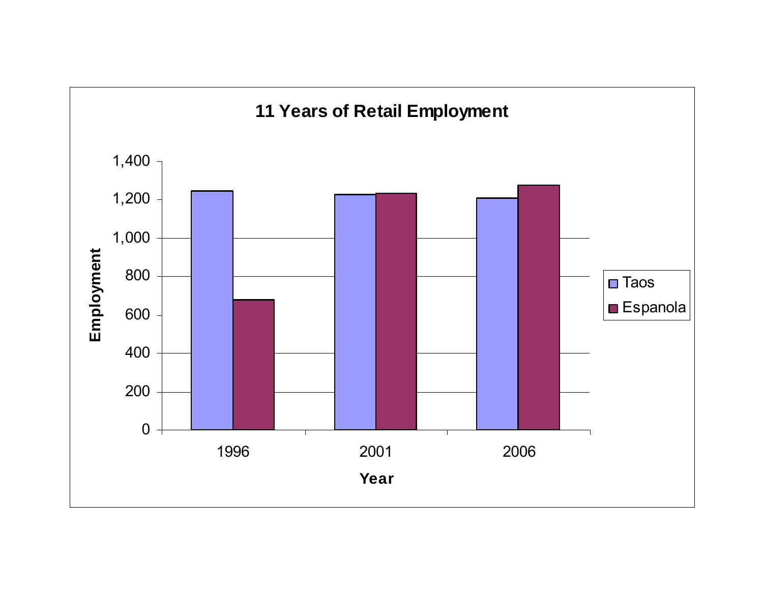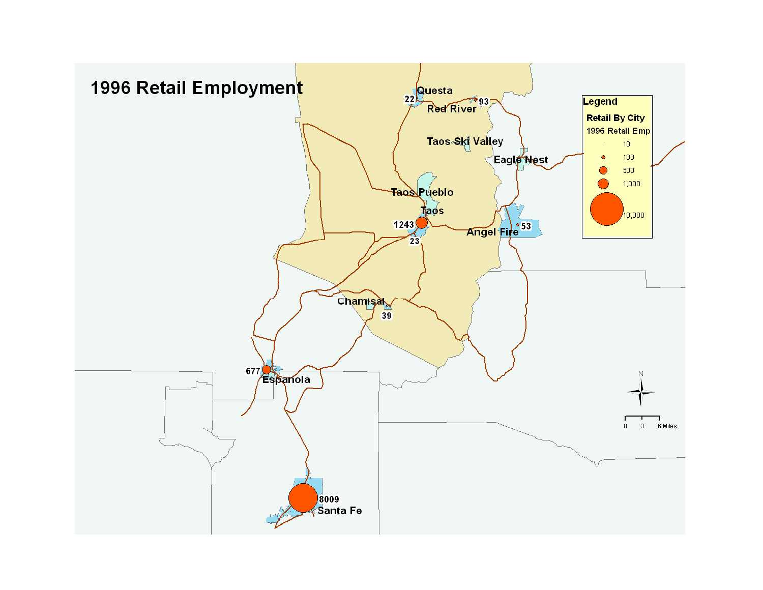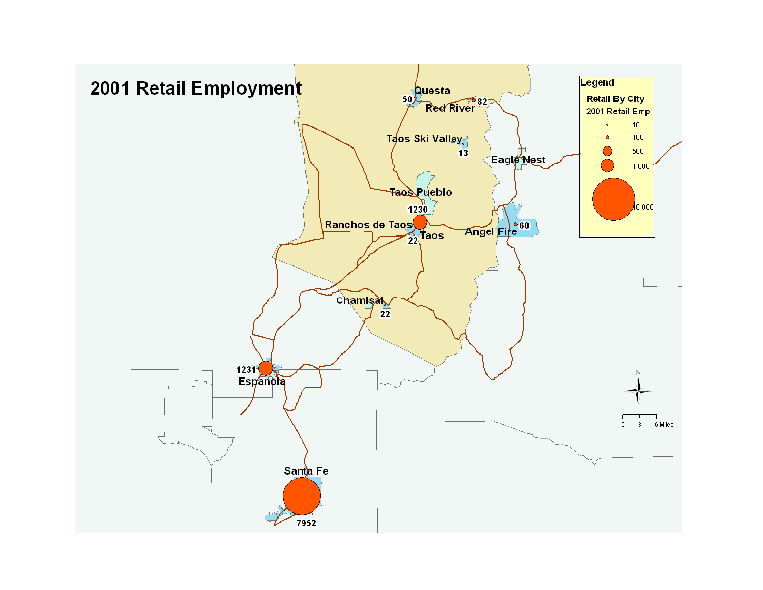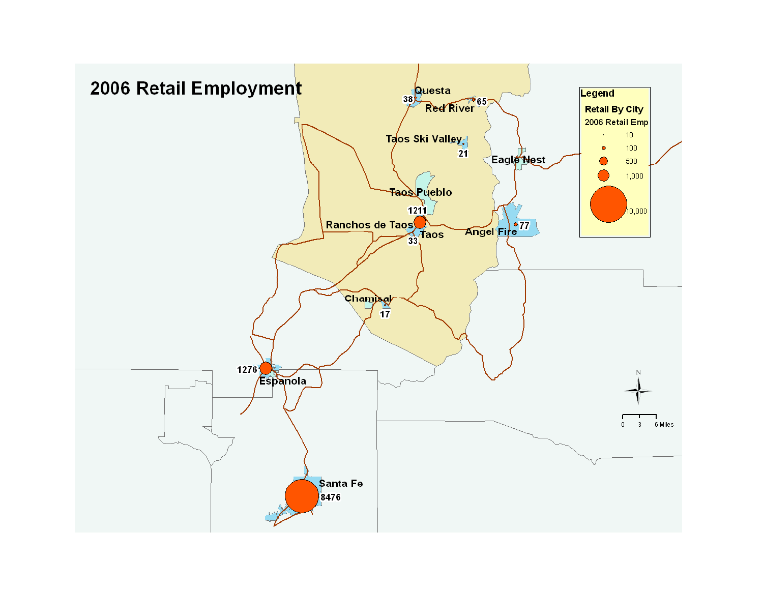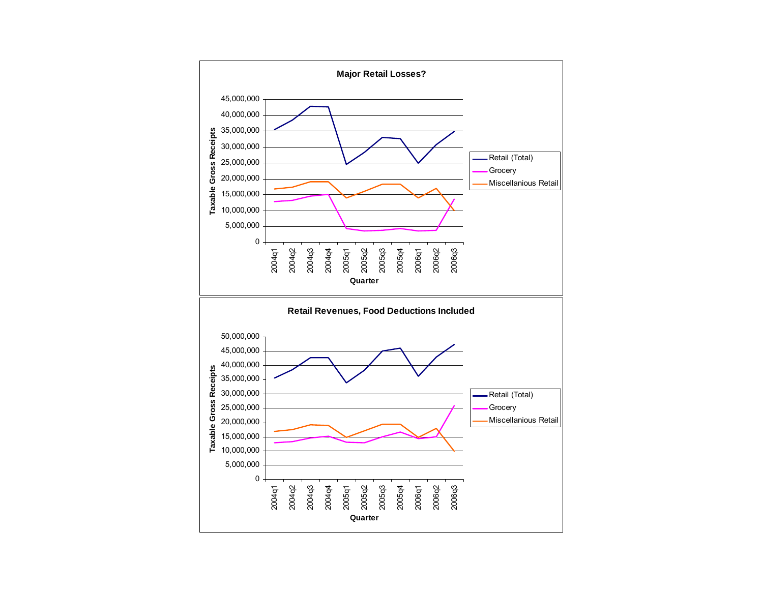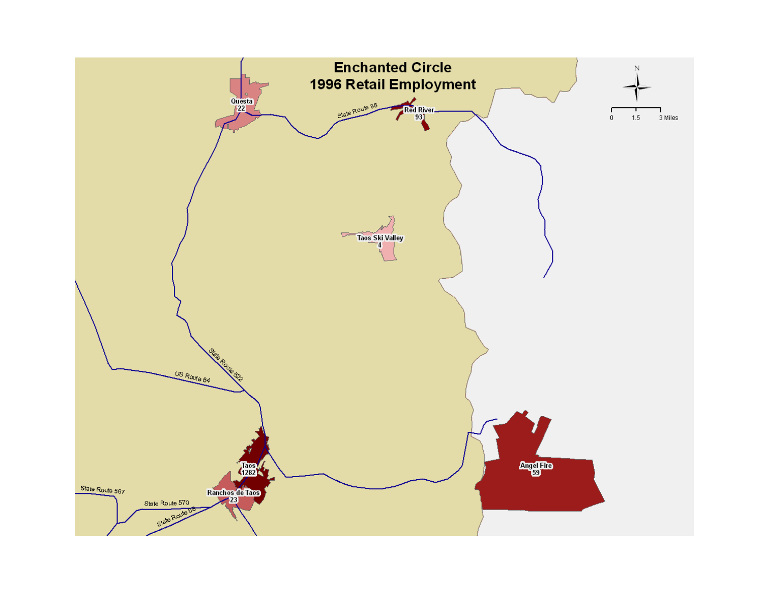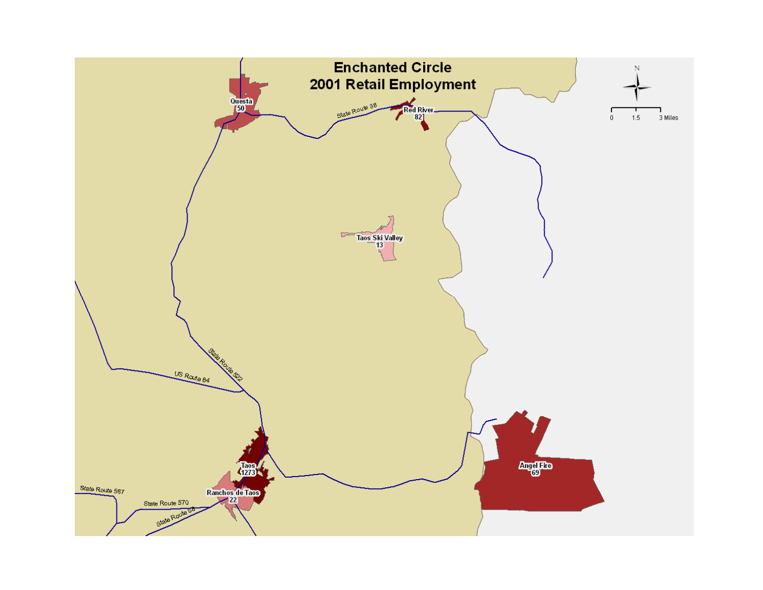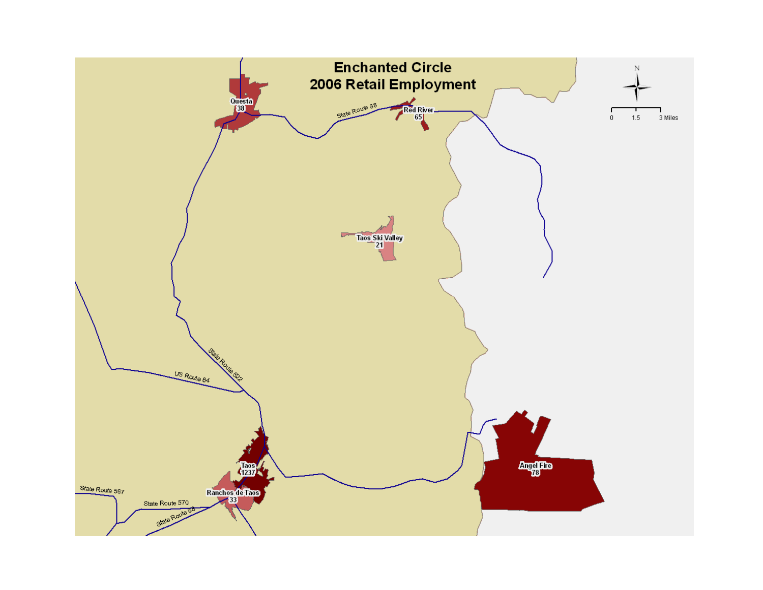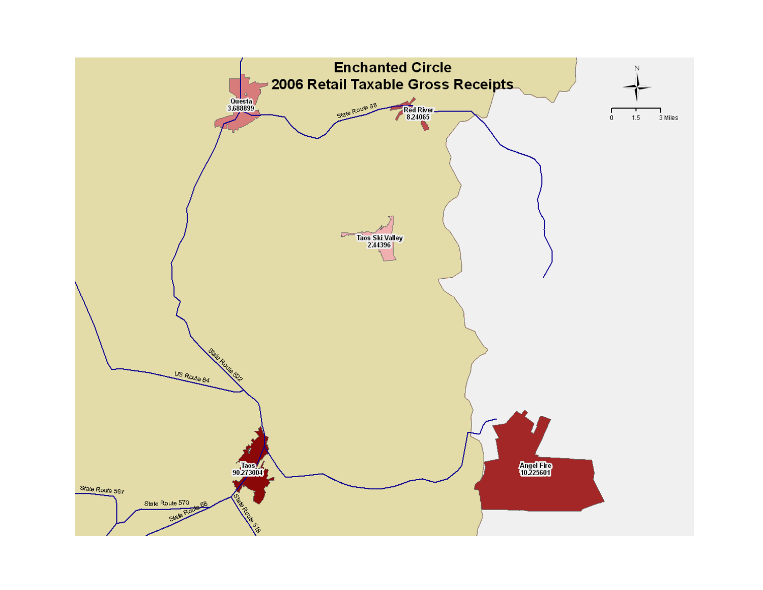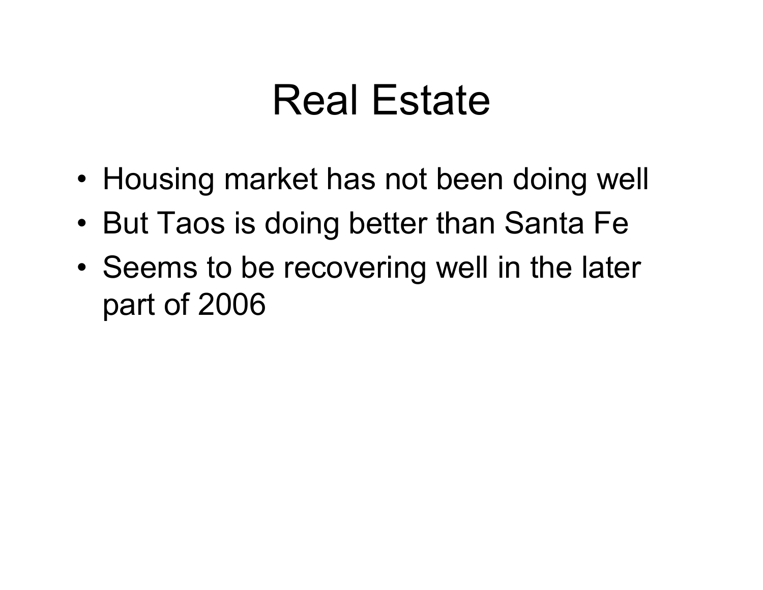### Real Estate

- Housing market has not been doing well
- •But Taos is doing better than Santa Fe
- • Seems to be recovering well in the later part of 2006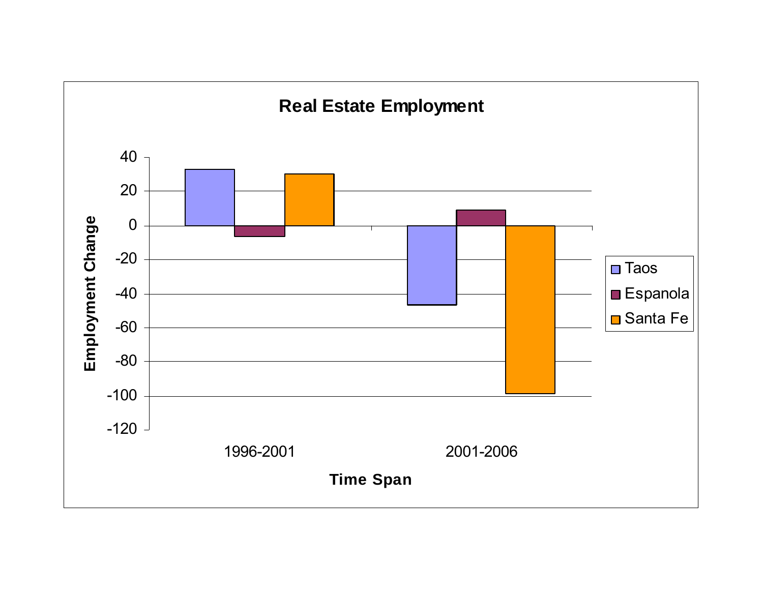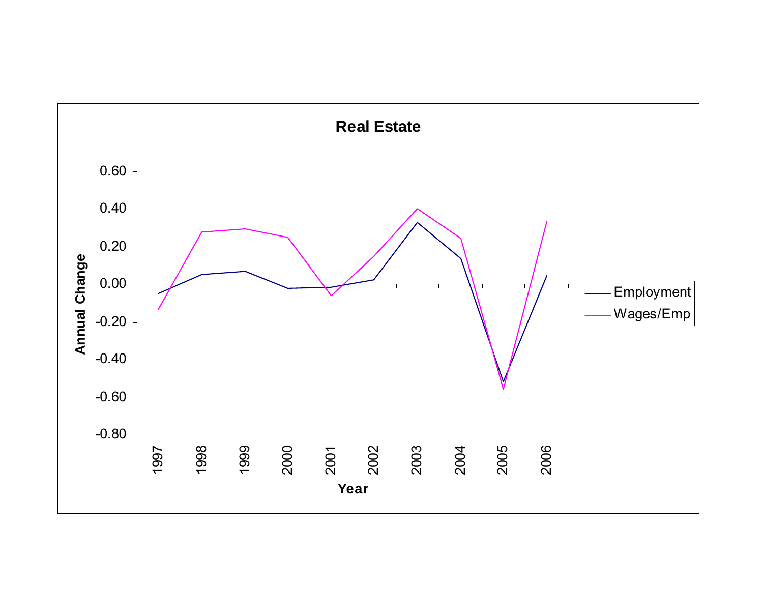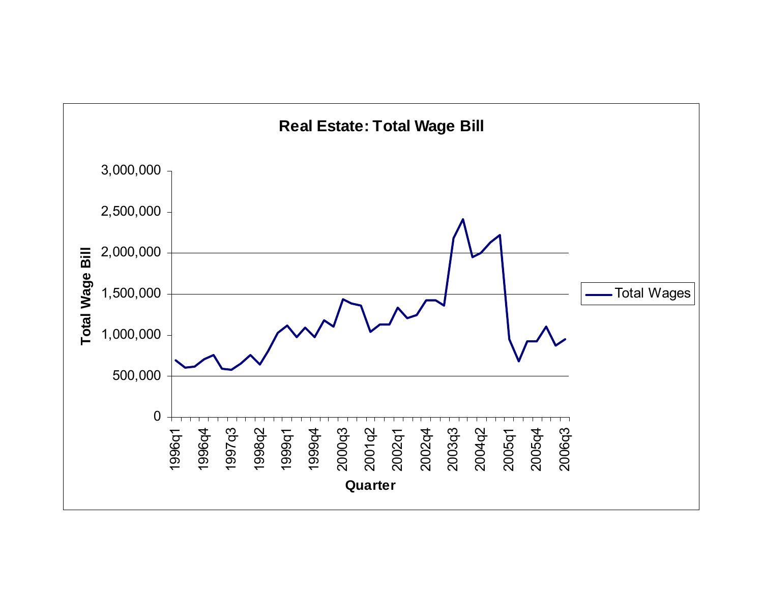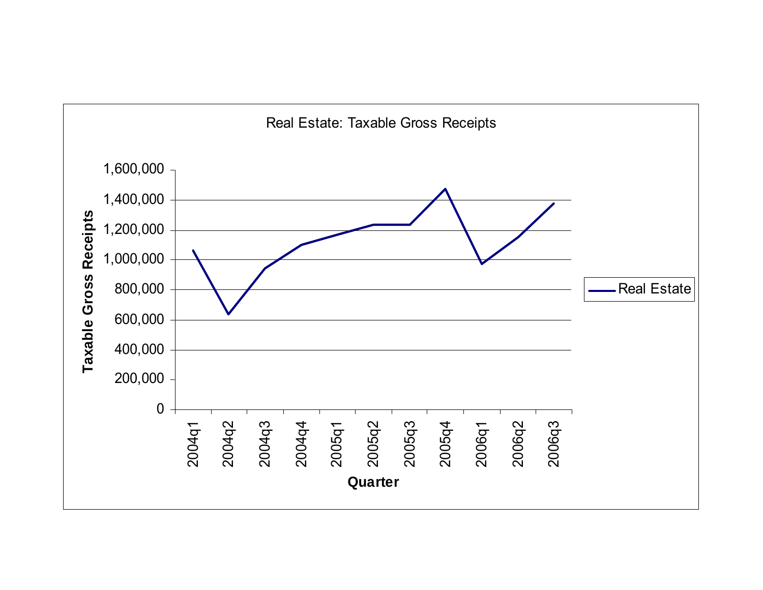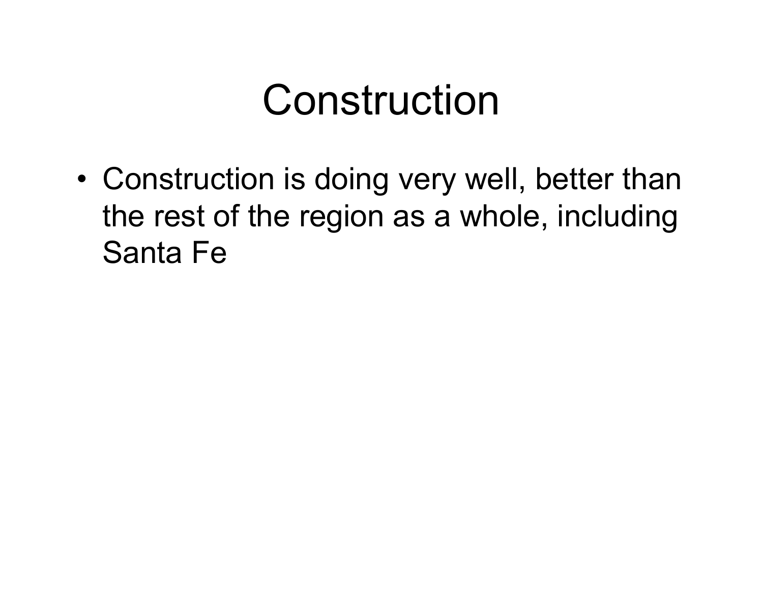## Construction

• Construction is doing very well, better than the rest of the region as a whole, including Santa Fe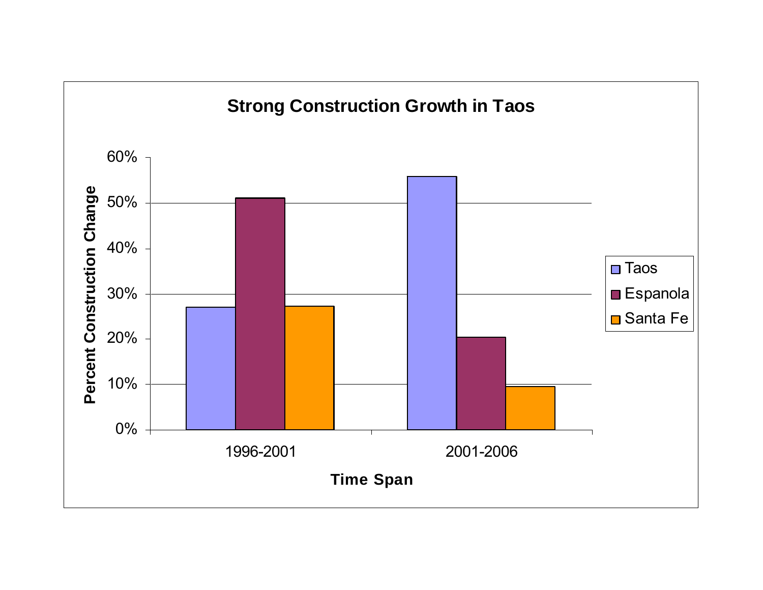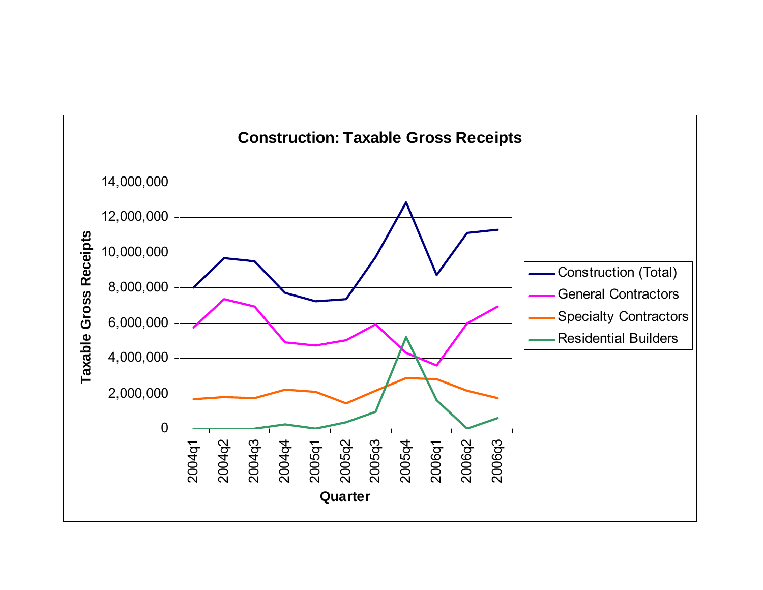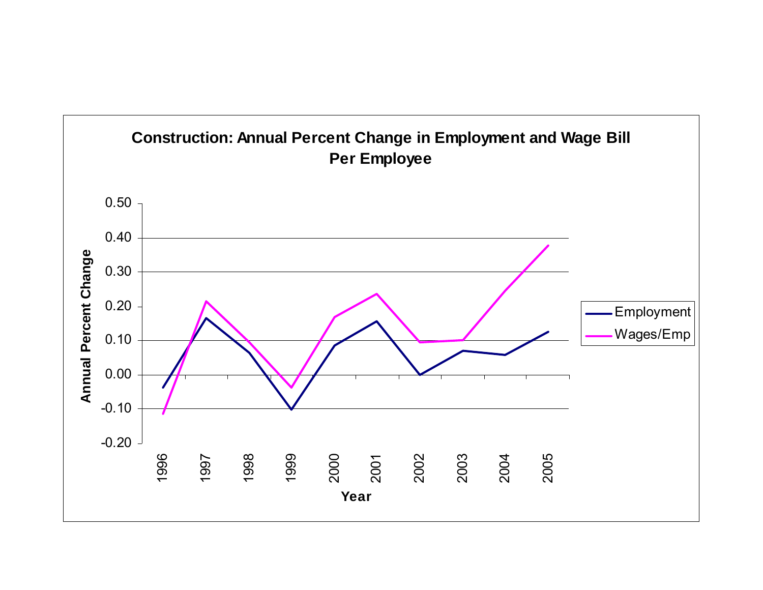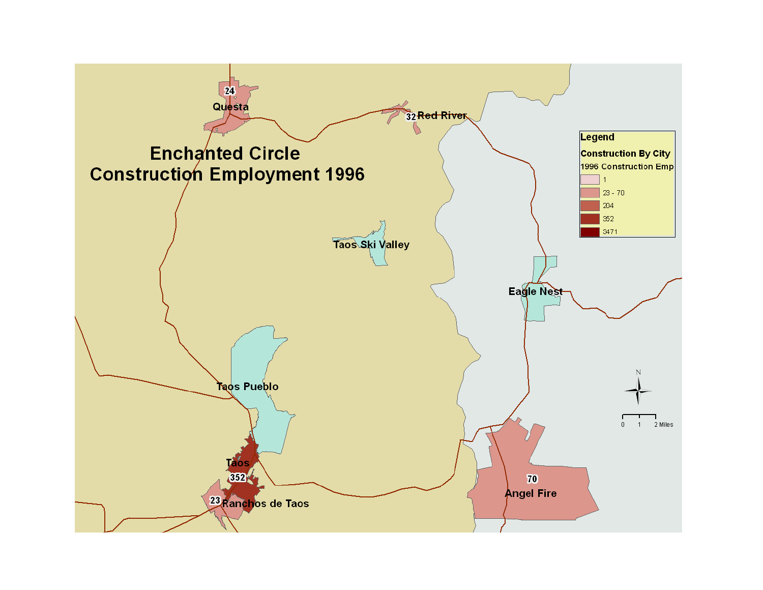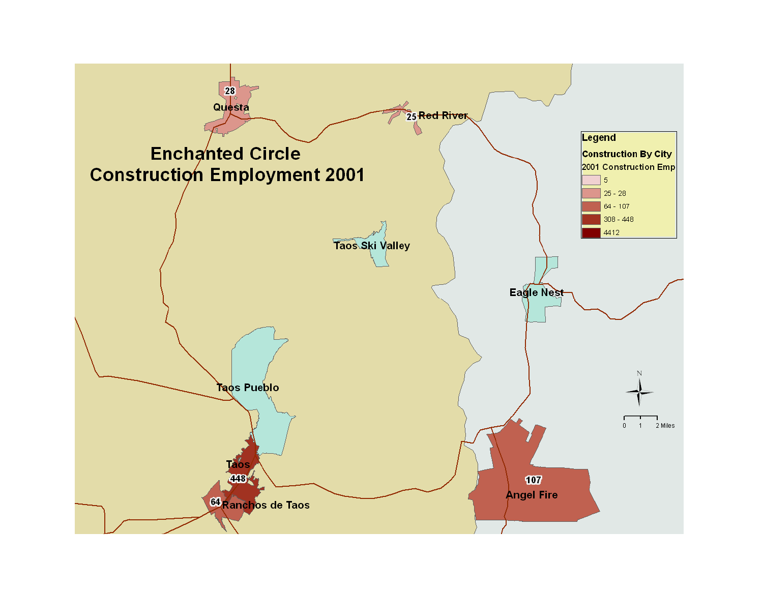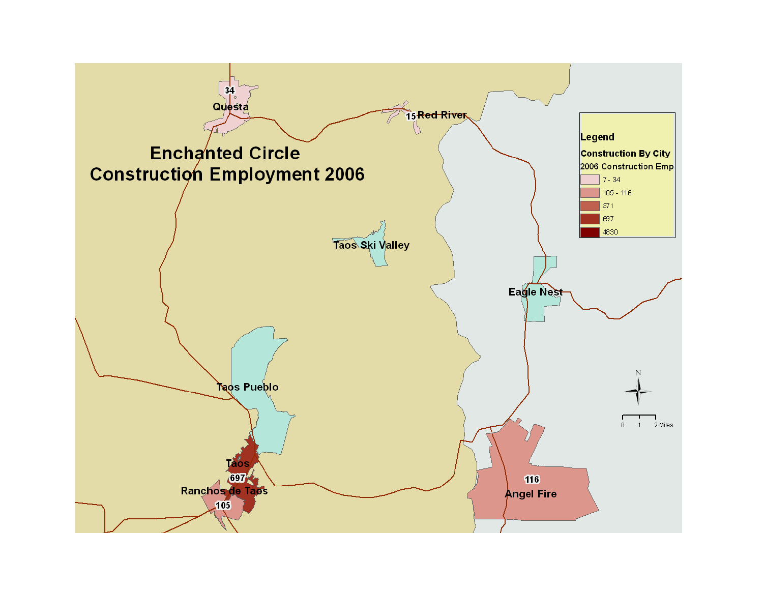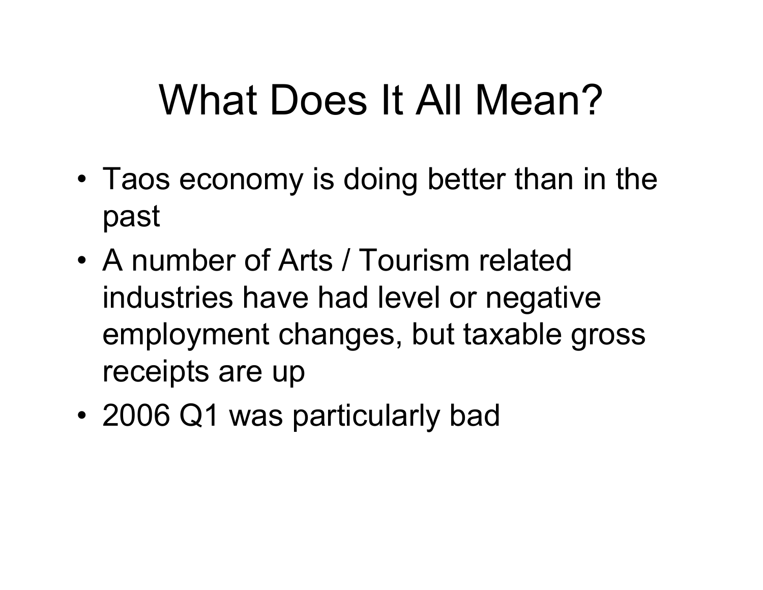# What Does It All Mean?

- Taos economy is doing better than in the past
- A number of Arts / Tourism related industries have had level or negative employment changes, but taxable gross receipts are up
- •2006 Q1 was particularly bad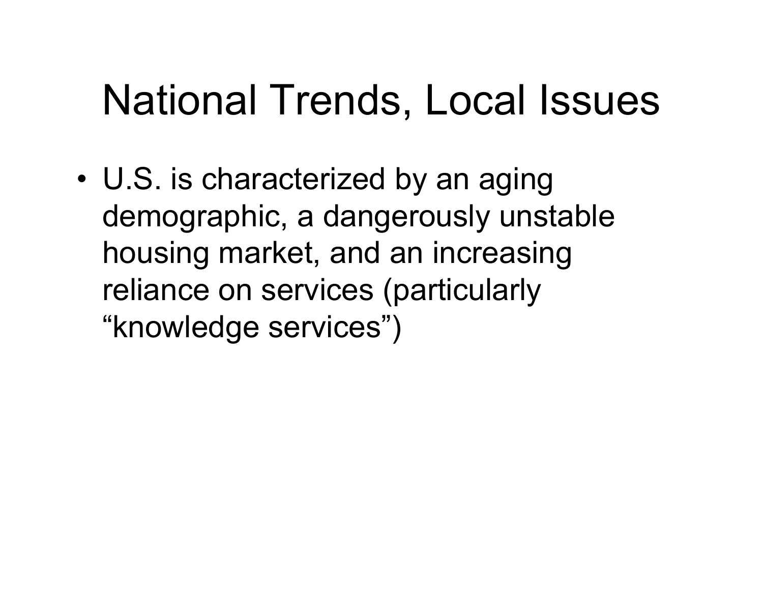## National Trends, Local Issues

• U.S. is characterized by an aging demographic, a dangerously unstable housing market, and an increasing reliance on services (particularly "knowledge services")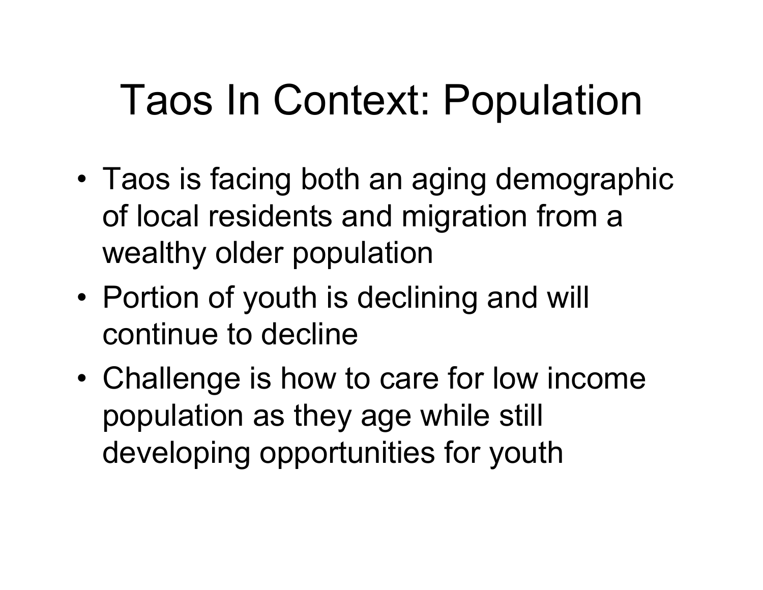# Taos In Context: Population

- • Taos is facing both an aging demographic of local residents and migration from a wealthy older population
- • Portion of youth is declining and will continue to decline
- • Challenge is how to care for low income population as they age while still developing opportunities for youth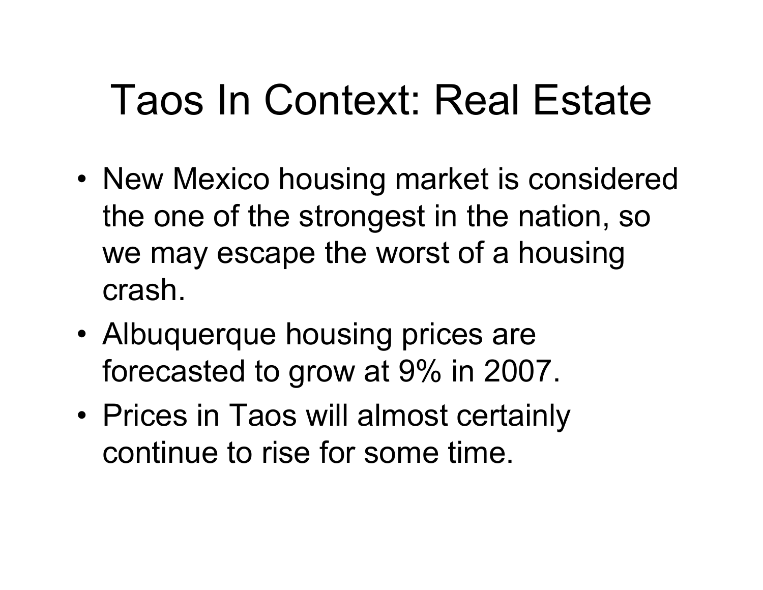## Taos In Context: Real Estate

- New Mexico housing market is considered the one of the strongest in the nation, so we may escape the worst of a housing crash.
- Albuquerque housing prices are forecasted to grow at 9% in 2007.
- Prices in Taos will almost certainly continue to rise for some time.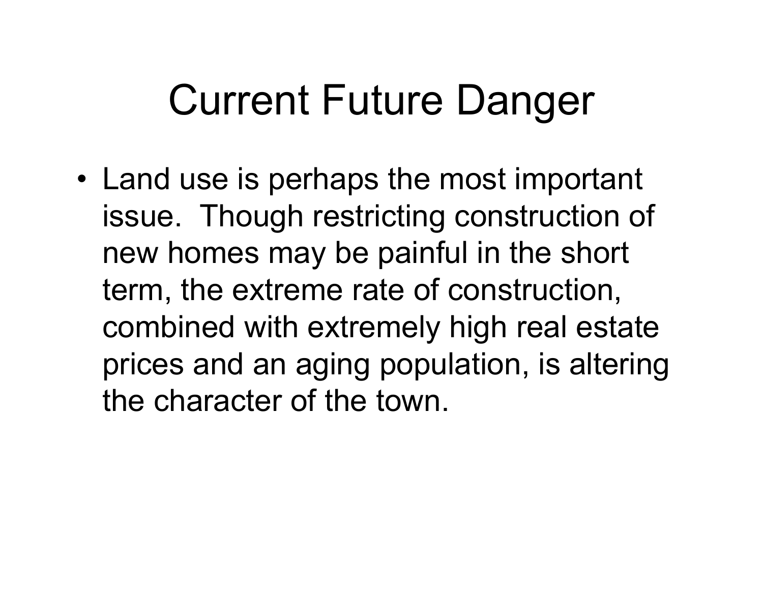### Current Future Danger

• Land use is perhaps the most important issue. Though restricting construction of new homes may be painful in the short term, the extreme rate of construction, combined with extremely high real estate prices and an aging population, is altering the character of the town.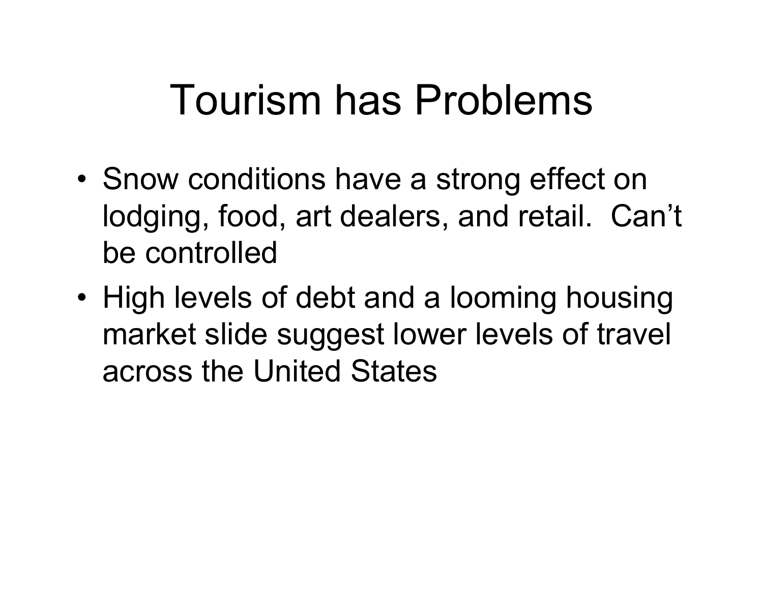### Tourism has Problems

- • Snow conditions have a strong effect on lodging, food, art dealers, and retail. Can't be controlled
- • High levels of debt and a looming housing market slide suggest lower levels of travel across the United States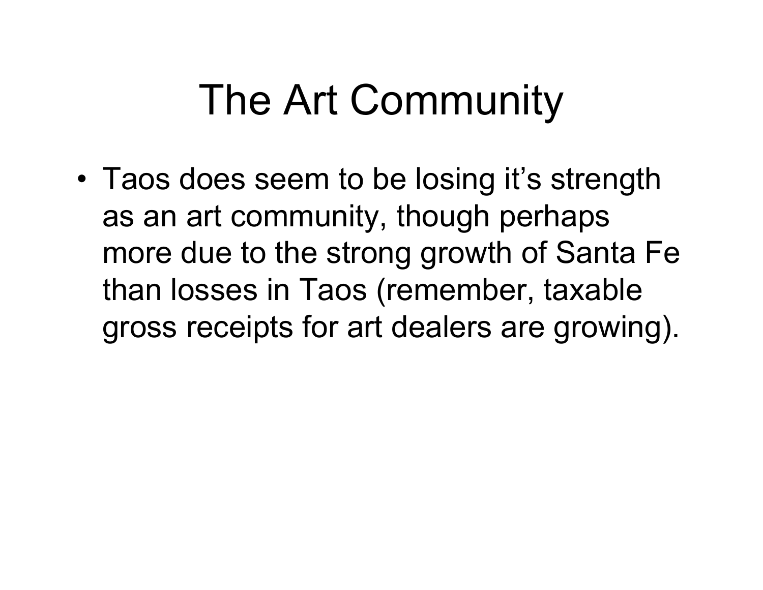## The Art Community

• Taos does seem to be losing it's strength as an art community, though perhaps more due to the strong growth of Santa Fe than losses in Taos (remember, taxable gross receipts for art dealers are growing).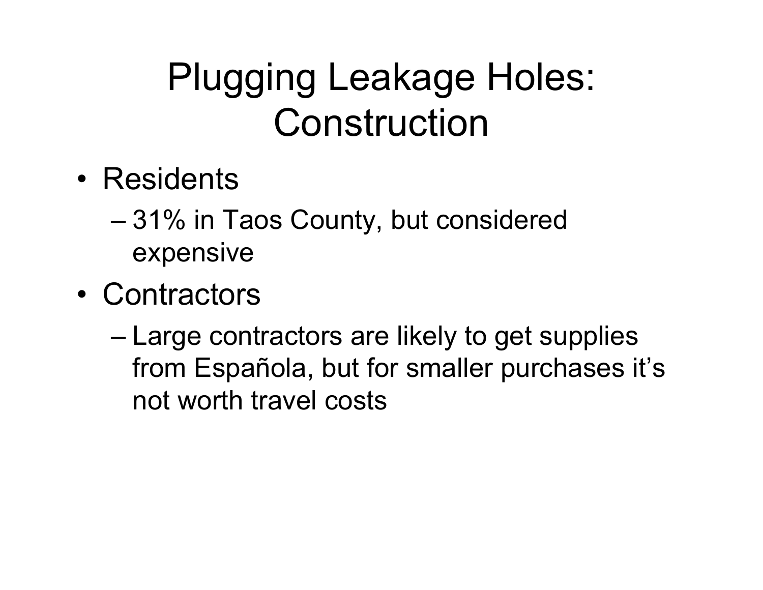#### Plugging Leakage Holes: Construction

- Residents
	- – 31% in Taos County, but considered expensive
- Contractors
	- – Large contractors are likely to get supplies from Española, but for smaller purchases it's not worth travel costs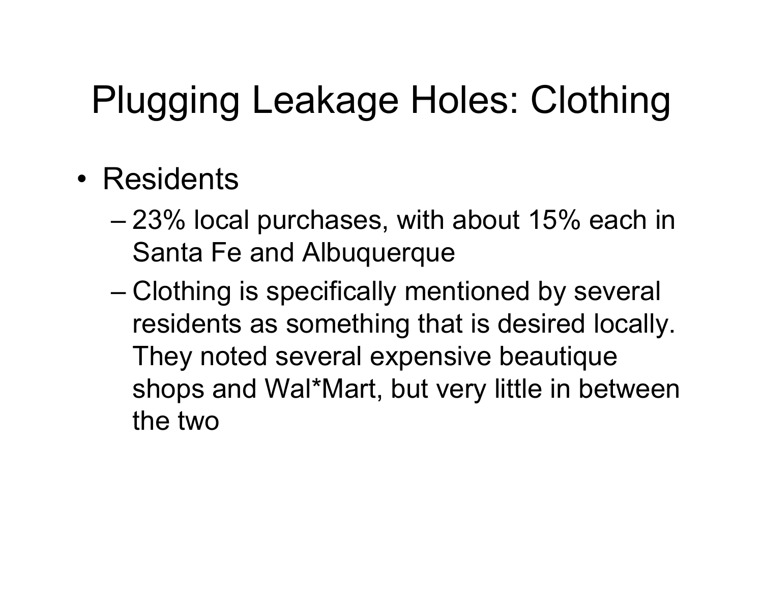### Plugging Leakage Holes: Clothing

- Residents
	- – 23% local purchases, with about 15% each in Santa Fe and Albuquerque
	- – Clothing is specifically mentioned by several residents as something that is desired locally. They noted several expensive beautique shops and Wal\*Mart, but very little in between the two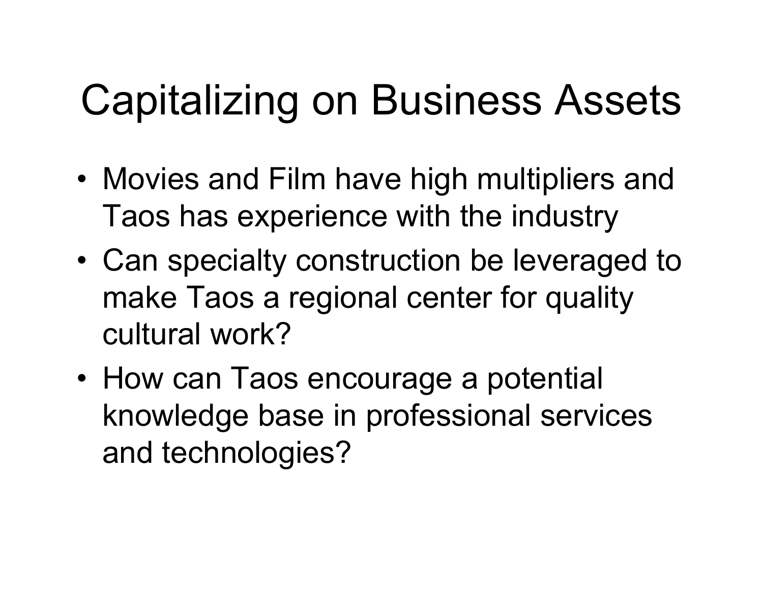# Capitalizing on Business Assets

- Movies and Film have high multipliers and Taos has experience with the industry
- • Can specialty construction be leveraged to make Taos a regional center for quality cultural work?
- How can Taos encourage a potential knowledge base in professional services and technologies?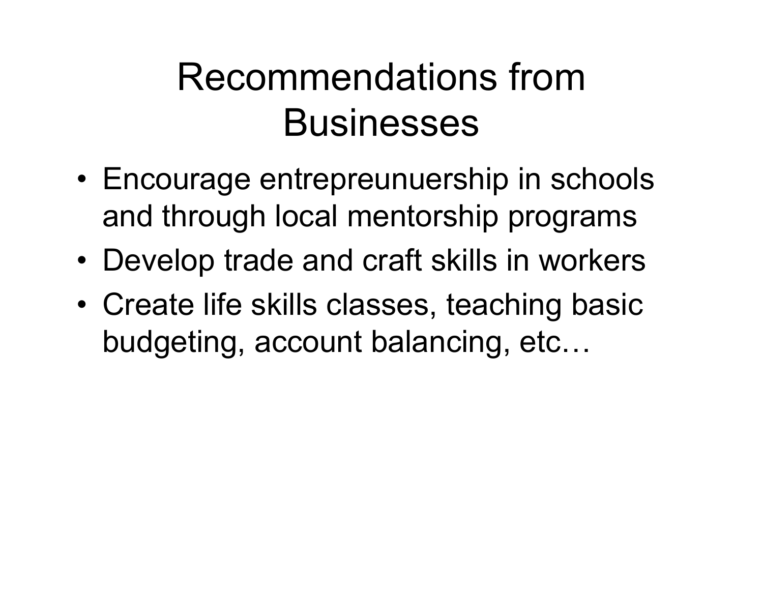#### Recommendations from **Businesses**

- Encourage entrepreunuership in schools and through local mentorship programs
- •Develop trade and craft skills in workers
- • Create life skills classes, teaching basic budgeting, account balancing, etc…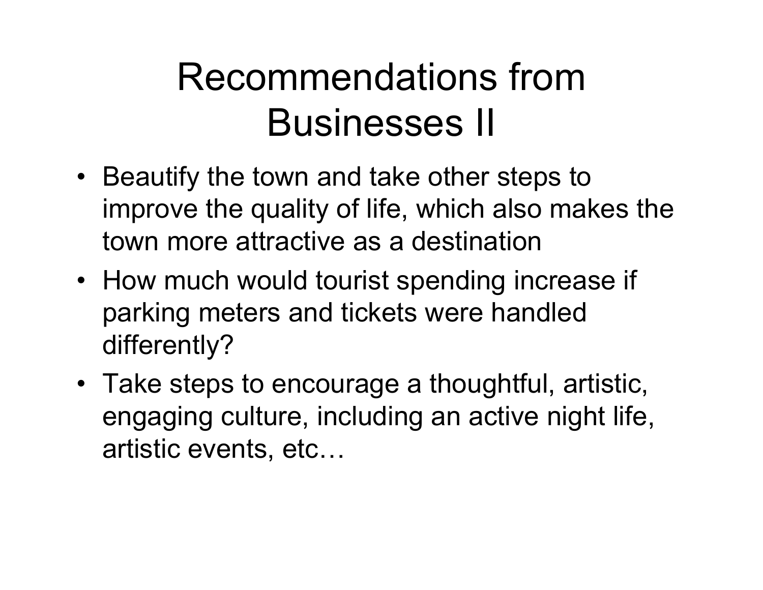#### Recommendations from Businesses II

- Beautify the town and take other steps to improve the quality of life, which also makes the town more attractive as a destination
- How much would tourist spending increase if parking meters and tickets were handled differently?
- Take steps to encourage a thoughtful, artistic, engaging culture, including an active night life, artistic events, etc…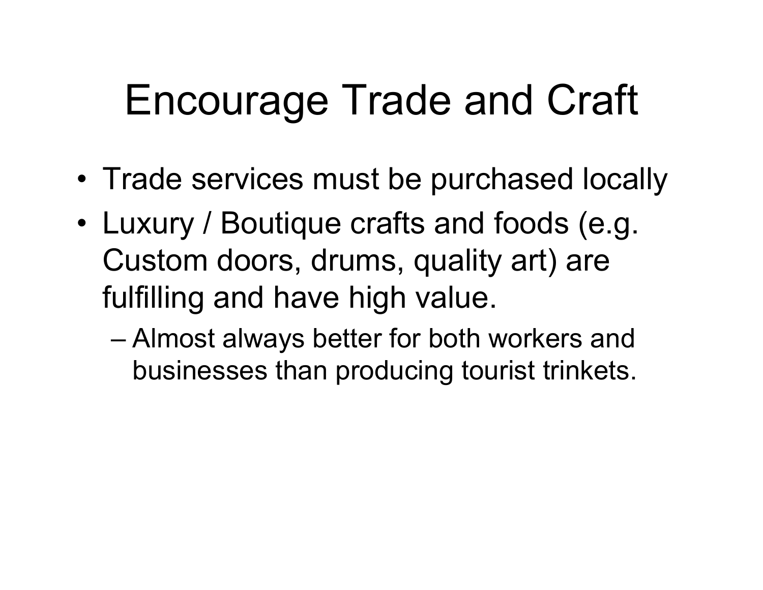## Encourage Trade and Craft

- Trade services must be purchased locally
- • Luxury / Boutique crafts and foods (e.g. Custom doors, drums, quality art) are fulfilling and have high value.
	- – Almost always better for both workers and businesses than producing tourist trinkets.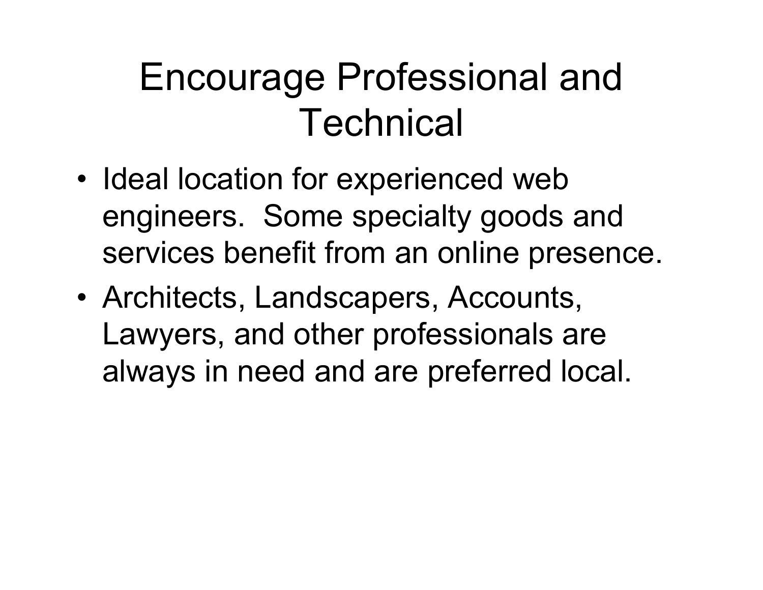#### Encourage Professional and **Technical**

- • Ideal location for experienced web engineers. Some specialty goods and services benefit from an online presence.
- Architects, Landscapers, Accounts, Lawyers, and other professionals are always in need and are preferred local.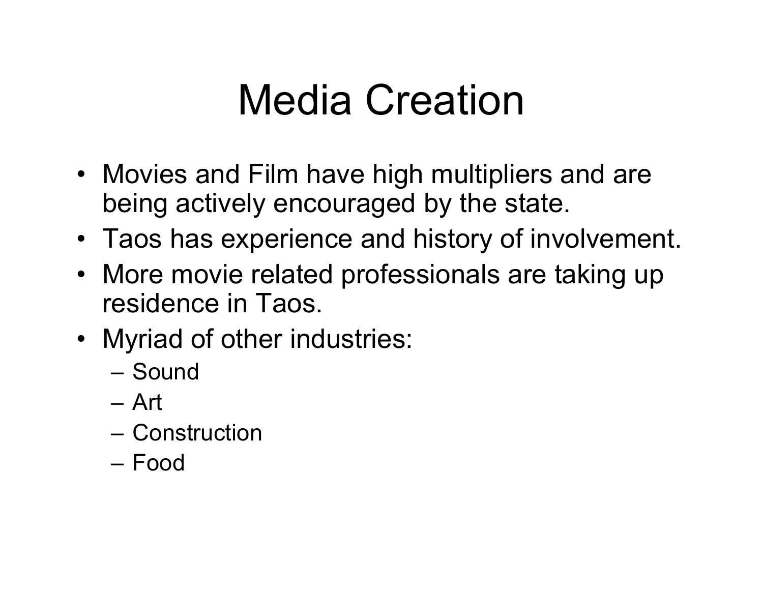## Media Creation

- Movies and Film have high multipliers and are being actively encouraged by the state.
- Taos has experience and history of involvement.
- More movie related professionals are taking up residence in Taos.
- Myriad of other industries:
	- Sound
	- Art
	- Construction
	- Food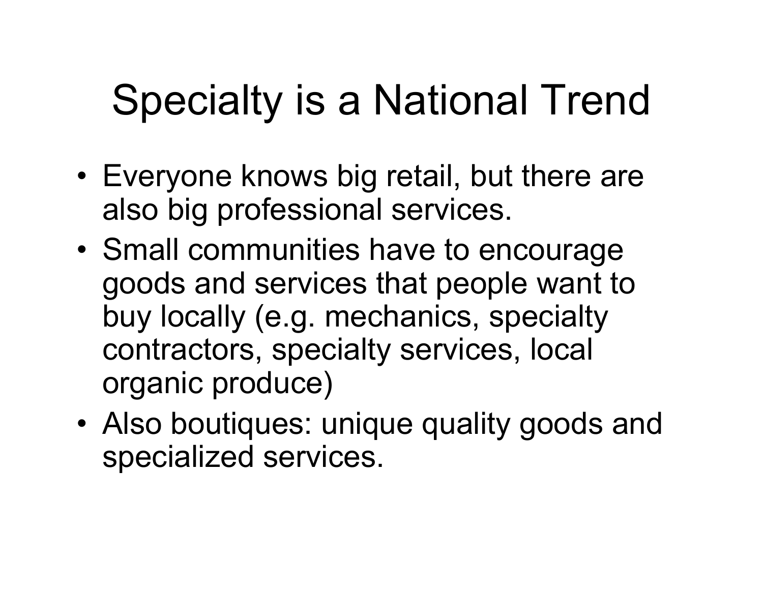# Specialty is a National Trend

- Everyone knows big retail, but there are also big professional services.
- • Small communities have to encourage goods and services that people want to buy locally (e.g. mechanics, specialty contractors, specialty services, local organic produce)
- Also boutiques: unique quality goods and specialized services.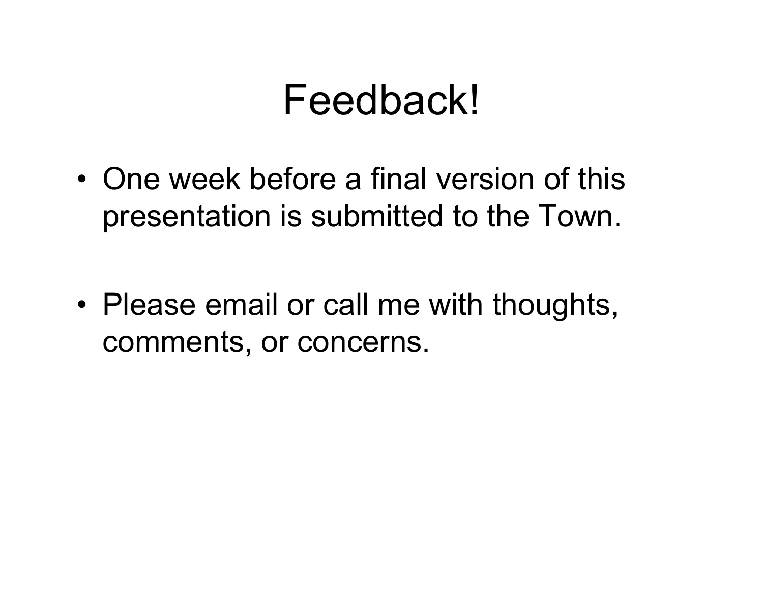#### Feedback!

• One week before a final version of this presentation is submitted to the Town.

• Please email or call me with thoughts, comments, or concerns.